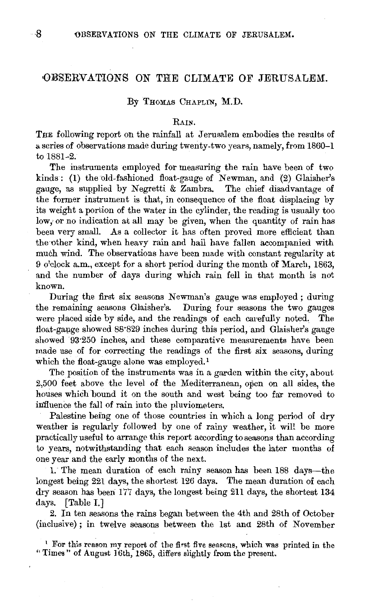# OBSERVATIONS ON THE CLIMATE OF JERUSALEM.

#### By THOMAS CHAPLIN, M.D.

### RAIN.

THE following report on the rainfall at Jerusalem embodies the results of a series of observations made during twenty-two years, namely, from 1860-l to 1881-2.

The instruments employed for measuring the rain have been of two kinds : (I) the old-fashioned float-gauge of Newman, and (2) Glaisher's gauge, as supplied by Negretti & Zambra. The chief disadvantage of the former instrument is that, in consequence of the float displacing by its weight a portion of the water in the cylinder, the reading is usually too low; or no indication at all may be given, when the quantity of rain has been very small. As a collector it has often proved more efficient than the other kind, when heavy rain and hail have fallen accompanied with much wind. The observations have been made with constant regularity at 9 o'clock a.m., except for a short period during the month of March, 1863, and the number of days during which rain fell in that month is not known.

During the first six seasons Newman's gauge was employed ; during the remaining seasons Glaisher's. During four seasons the two gauges were placed side by side, and the readings of each carefully noted. The tloat-gauge showed 88'829 inches during this period, and Glaisher's gauge showed 93.250 inches, and these comparative measurements have been made use of for correcting the readings of the first six seasons, during which the float-gauge alone was employed.<sup>1</sup>

The position of the instruments was in a garden within the city, about 2,500 feet above the level of the Mediterranean, open on all sides, the houses which bound it on the south and west being too far removed to influence the fall of rain into the pluviometers.

Palestine being one of those countries in which a long period of dry weather is regularly followed by one of rainy weather, it will be more practically useful to arrange this report according to seasons than according to years, notwithstanding that each season includes the later months of one year and the early months of the next.

1. The mean duration of each rainy season has been 188 days—the longest being 221 days, the shortest 126 days. The mean duration of each dry season has been: 177 days, the longest being 211 days, the shortest 134 days. [Table I.]

2. In ten seasons the rains began between the 4th and 28th of October (inclusive); in twelve seasons between the 1st and 28th of November

<sup>1</sup> For this reason my report of the first five seasons, which was printed in the "Times" of August 16th, 1865, differs slightly from the present.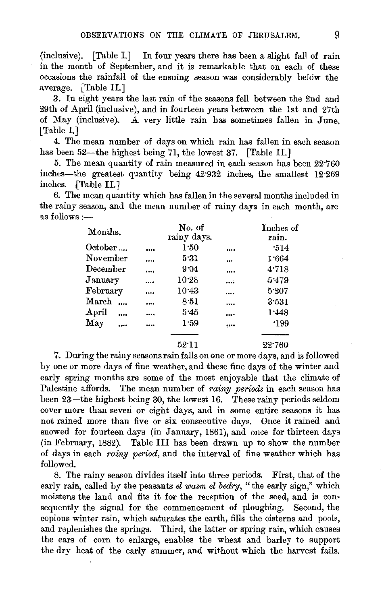(inclusive). [Table I.] In four years there has been a slight fall of rain in the month of September, and it is remarkable that on each of these occasions the rainfall of the ensuing season was considerably below the average. [Table II.]

3. In eight years the last rain of the seasons fell between the 2nd and 29th of April (inclusive), and in fourteen years between the lst and 27th of May (inclusive). A very little rain has sometimes fallen in June. [Table I.]

4. The mean number of days on which rain has fallen in each season has been 52—the highest being 71, the lowest 37. [Table II.]

5. The mean quantity of rain measured in each season has been 22"760 inches-the greatest quantity being 42"932 inches, the smallest 12'269 inches. (Table II.]

6. The mean quantity which has fallen in the several months included in the rainy season, and the mean number of rainy days in each month, are as follows  $:=$ 

| Months.                | No. of<br>rainy days. |          | Inches of<br>rain. |
|------------------------|-----------------------|----------|--------------------|
| October                | <br>1:50              |          | .514               |
| November               | <br>5.31              | $\cdots$ | 1.664              |
| December               | <br>9.04              |          | 4.718              |
| January                | <br>10.28             |          | 5.479              |
| February               | <br>$10-43$           |          | 5.207              |
| $\operatorname{March}$ | <br>8:51              |          | 3:531              |
| April<br>              | <br>5.45              |          | 1.448              |
| May                    | <br>1.59              |          | .199               |
|                        |                       |          |                    |
|                        | 52.11                 |          | 22.760             |

7. During the rainy seasons rain falls on one or more days, and is followed by one or more days of fine weather, and these fine days of the winter and early spring months are some of the most enjoyable that the climate of Palestine affords. The mean number of *rainy periods* in each season has been  $23$ —the highest being 30, the lowest 16. These rainy periods seldom cover more than seven or eight days, and in some entire seasons it has not rained more than five or six consecutive days. Once it rained and snowed for fourteen days (in January, 1861), and once for thirteen days (in February, 1882). Table III has been drawn up to show the number of days in each *rainy period,* and the interval of fine weather which has followed.

8. The rainy season divides itself into three periods. First, that of the early rain, called by the peasants *el wasm el bedry*, "the early sign," which moistens the land and fits it for the reception of the seed, and is consequently the signal for the commencement of ploughing. Second, the copious winter rain, which saturates the earth, fills the cisterns and pools, and replenishes the springs. Third, the latter or spring rain, which causes the ears of corn to enlarge, enables the wheat and barley to support the dry heat of the early summer, and without which the harvest fails.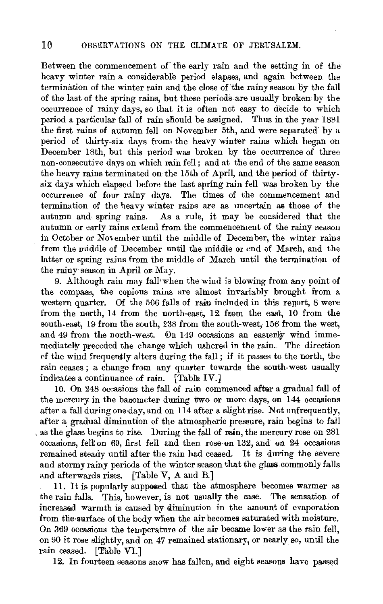Between the commencement of the early rain and the setting in of the heavy winter rain a considerable period elapses, and again between the termination of the winter rain and the close of'the rainy season By the fall of the last of the spring rains, but these periods are usually broken by the occurrence of rainy days, so that it is often not easy to decide to which period a particular fall of rain should be assigned. Thus in the year 1881 the first rains of autumn fell on November 5th, and were separated' by a period of thirty-six days from• the heavy winter rains which began on December 18th, but this period was broken by the occurrence of three non-consecutive days on which min fell; and at the end of the same season the heavy rains terminated on the 15th of April, and the period of thirtysix days which elapsed before the last spring rain fell was broken by the occurrence of four rainy days. The times of the commencement and termination of the heavy winter rains are as uncertain as those of the autumn and spring rains. As a rule, it may be considered that the autumn or early rains extend from the commencement of the rainy season in October or November until the middle of December, the winter rains from the middle of December until the middle or end of March, and the latter or spning rains from the middle of March until the termination of the rainy· season in April on May.

9. Although rain may fall• when the wind is blowing from any point of the compass, the copious rains are almost invariably brought from a western quarter. Of the 506 falls of rain included in this renort, 8 were from the north, 14 from the north-east, 12 from the east, 10 from the south-east, 19 from the south, 238 from the south-west, 156 from the west, and 49 from the north-west. On 149 occasions an easterly wind immemediately preceded the change which ushered in the rain.. The direction of the wind frequently alters during the fall; if it passes to the north, the rain ceases; a change from any quarter towards the south-west usually indicates a continuance of rain. [Table IV.]

10. On 248 occasions the fall of rain commenced after a gradual fall of the mercury in the barometer during two or more days, on 144 occasions after a fall during one day, and on 114 after a slight rise. Not unfrequently, after a gradual diminution of the atmospheric pressure, rain begins to fall , as the glass begins to rise. During the fall of min, the mercury rose on 281  $occasions, fell on 69, first fell and then rose on 132, and on 24 occasions$ remained steady until after the rain had ceased. It is during the severe and stormy rainy periods of the winter season that the glass. commonly falls and afterwards rises. [Table V, A and B.]

11. It is popularly supposed that the atmosphere becomes warmer as the rain falls. This, however, is not usually the case. The sensation of increased warmth is caused by diminution in the amount of evaporation from the surface of the body when the air becomes saturated with moisture. On 369 occasions the temperature of the air became lower as the rain fell, on 90 it rose slightly, and on 47 remained stationary, or nearly so, until the rain ceased. [Table VI.]

12. In fourteen seasons snow has fallen, and eight seasons have passed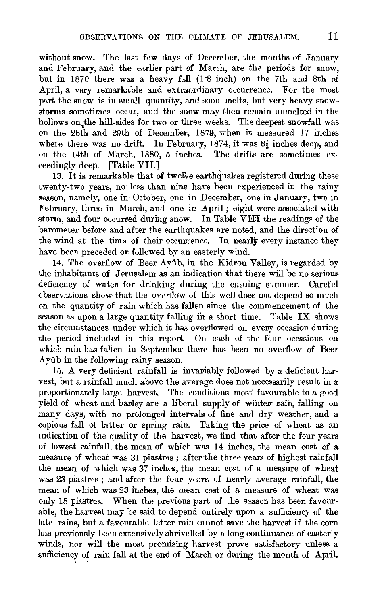without snow. The last few days of December, the months of January and February, and the earlier part of March, are the periods for snow, but in 1870 there was a heavy fall (1·8 inch) on the 7th and 8th of April, a very remarkable and extraordinary occurrence. For the most part the snow is in small quantity, and soon melts, but very heavy snowstorms sometimes occur, and the snow may then remain unmelted in the hollows on the hill-sides for two or three weeks. The deepest snowfall was on the 28th and 29th of December, 1879, when it measured 17 inches where there was no drift. In February, 1874, it was  $8\frac{1}{4}$  inches deep, and on the 14th of March, 1880, 5 inches. The drifts are sometimes exceedingly deep. [Table VII.]

13. It is remarkable that of twelve earthquakes registered during these twenty-two years, no less than nine have been experienced in the rainy season, namely, one in October, one in December, one in January, two in February, three in March, and one in April; eight were associated with storm, and four occurred during snow. In Table VIII the readings of the barometer before and after the earthquakes are noted, and the direction of the wind at the time of their occurrence. In nearly every instance they have been preceded or followed by an easterly wind.

14. The overflow of Beer Aytlb, in the Kidron Valley, is regarded by the inhabitants of Jerusalem as an indication that there will be no serious deficiency of water for drinking during the ensuing summer. Careful observations show· that the . overflow of this well does not depend so much on the quantity of rain which has fallen since the commencement of the season as upon a large quantity falling in a short time. Table IX shows the circumstances under which it has overflowed on every occasion during the period included in this report. On each of the four occasions on which rain has fallen in September there has been no overflow of Beer Aytlb in the following rainy season.

15. A very deficient rainfall is invariably followed by a deficient harvest, but a rainfall much above the average does not necessarily result in a proportionately large harvest. The conditions most favourable to a good yield of wheat and banley are a liberal supply of winter rain, falling on many days, with no prolonged intervals of fine and dry weather, and a copious fall of latter or spring rain. Taking the price of wheat as an indication of the quality of the harvest, we find that after the four years of lowest rainfall, the mean of which was 14 inches, the mean cost of a measure of wheat was 31 piastres; afterthe three years of highest rainfall the mean of which was 37 inches, the mean cost of a measure of wheat was 23 piastres ; and after the four years of nearly average rainfall, the mean of which was 23 inches, the mean cost of a measure of wheat was only 18 piastres. When the previous part of the season has been favourable, the harvest may be said to depend entirely upon a sufficiency of the late rains, but a favourable latter rain cannot save the harvest if the corn has previously been extensively shrivelled by a long continuance of easterly winds, nor will the most promising harvest prove satisfactory unless a sufficiency of rain fall at the end of March or during the month of April.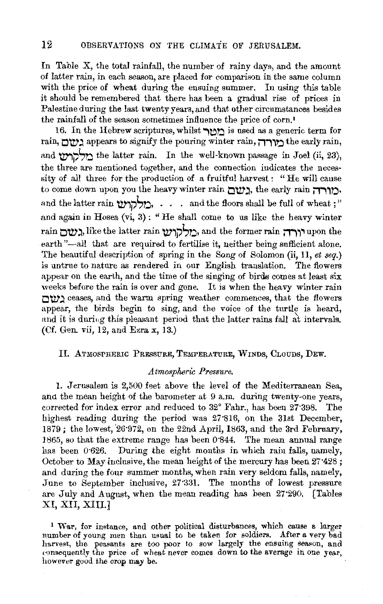In Table X, the total rainfall, the number of rainy days, and the amount of latter rain, in each season, are placed for comparison in the same column with the price of wheat during the ensuing summer. In using this table it should be remembered that there has been a gradual rise of prices in Palestine during the last twenty years, and that other circumstances besides the rainfall of the season sometimes influence the price of corn.'

16. In the Hebrew scriptures, whilst  $\gamma$ רו $\gamma$  is used as a generic term for rain, **מורה**, appears to signify the pouring winter rain, **ווארה** the early rain, and **'ללה'** the latter rain. In the well-known passage in Joel (ii, 23), the three are mentioned together, and the connection indicates the necessity of all three for the production of a fruitful harvest: "He will cause to come down upon you the heavy winter rain לעורה, the early rain **..** and the latter rain  $\sum_{s}$ לקו $\cdots$ . and the floors shall be full of wheat ;" and again in Hosea (vi, 3): "He shall come to us like the heavy winter rain יורה, like the latter rain כולקוש, and the former rain גשם, earth"-all that are required to fertilise it, neither being sufficient alone. The beautiful description of spring in the Song of Solomon (ii, 11, *et seq.)*  is untrue to nature as rendered in our English translation. The flowers appear on the earth, and the time of the singing of birds comes at least six weeks before the rain is over and gone. It is when the heavy winter rain **O'tV';)** ceases, and the warm spring weather commences, that the flowers appear, the birds begin to sing, and the voice of the turtle is heard, and it is during this pleasant period that the latter rains fall at intervals. (Cf. Gen. vii, 12, and Ezra x, 13.)

# II. ATMOSPHERIC PRESsuRE, TEMPERATURE, WINDs, CLouDs, DEw.

# *Atmospheric Pressure.*

l. Jerusalem is 2,500 feet above the level of the Mediterranean Sea, ana the mean height of the barometer at 9 a.m. during twenty-one years, corrected for index error and reduced to 32° Fahr., has been 27·398. The highest reading during the period was 27"816, on the 31st December,  $1879$ ; the lowest,  $26.972$ , on the  $22nd$  April, 1863, and the 3rd February, l 865, so that the extreme range has been 0·844. The mean annual range has been 0.626. During the eight months in which rain falls, namely, October to May inclusive, the mean height of the mercury has been 27·428 ; and during the four summer months, when rain very seldom falls, namely, June to September inclusive, 27:331. The months of lowest pressure are July and August, when the mean reading has been 27•290. [Tables XI, XII, XIII.]

1 War, for instance, and other political disturbances, which cause a larger number of young men than usual to be taken for soldiers. After a very bad harvest, the peasants are too poor to sow largely the ensuing season, and consequently the price of wheat never comes down to the average in one year, however good the crop may be.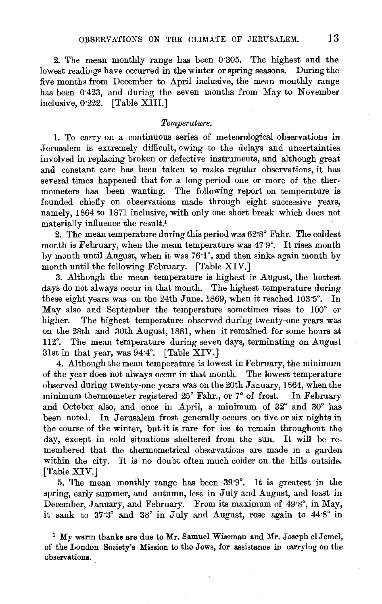2. The mean monthly range has been 0'305. The highest and the lowest readings have occurred in the winter or spring seasons. During the five months from December to April inclusive, the mean monthly range has been 0'423, and during the seven months from May to November inclusive, 0·222. [Table XIII.]

# *Temperature.*

1. To carry on a continuous series of meteorological observations in Jerusalem is extremely difficult, owing to the delays and uncertainties involved in replacing broken or defective instruments, and although great and constant care has been taken to make regular observations, it has several times happened that for a long period one or more of the thermometers has been wanting. The following report on temperature is founded chiefly on observations made through eight successive years, namely, 1864 to 1871 inclusive, with only one short break which does not materially influence the result.'

2. The mean temperature during this period was 62'8° Fahr. The coldest month is February, when the mean temperature was 47'9°. It rises month by month until August, when it was 76'1°, and then sinks again month by month until the following February. [Table XIV.]

3. Although the mean temperature is highest in August, the hottest days do not always occur in that month. The highest temperature during these eight years was on the 24th June, 1869, when it reached 103'5°, In May also and September the temperature sometimes rises to 100° or higher. The highest temperature observed during twenty-one years was on the 28th and 30th August, 1881, when it remained for some hours at ll2°. The mean temperature during seven days, terminating on August 31st in that year, was 94·4°. [Table XIV.]

4. Although the mean temperature is lowest in February, the minimum of the year does not always occur in that month. The lowest temperature observed during twenty-one years was on the 20th January, 1864, when the minimum thermometer registered 25° Fahr., or 7° of frost. In February and October also, and once in April, a minimum of 32° and 30° has been noted. In Jerusalem frost generally occurs on five or six nights in the course of the winter, but it is rare for ice to remain throughout the day, except in cold situations sheltered from the sun. It will be remembered that the thermometrical observations are made in a garden within the city. It is no doubt often much colder on the hills outside. [Table XIV.]

5. The mean monthly range has been 39'9°, It is greatest in the spring, early summer, and autumn, less in July and August, and least in December, January, and February. From its maximum of 49.8°, in May, it sank to 37'3° and 38° in July and August, rose again to 44'8° in

 $1$  My warm thanks are due to Mr. Samuel Wiseman and Mr. Joseph el Jemel, of the London Society's Mission to the Jews, for assistance in carrying on the observations.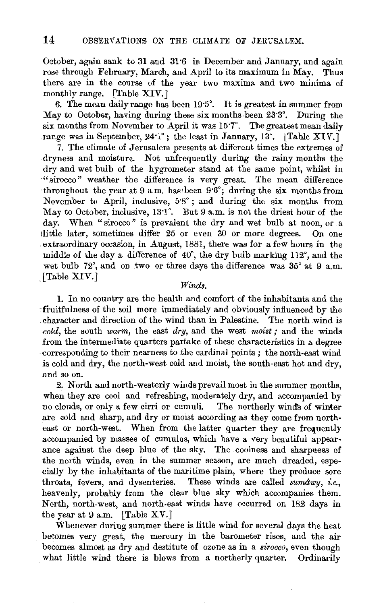October, again sank to 31 and 31'6 in December and January, and again rose through February, March, and April to its maximum in May. Thus there are in the course of the year two maxima and two minima of monthly range. [Table XIV.]

6. The mean daily range has been 19'5°. It is greatest in summer from May to October, having during these six months been 23.3°. During the six months from November to April it was 15"7°, The greatest mean daily range was in September, 24'1°; the least in January, 13°. [Table XIV.]

7. The climate of Jerusalem presents at different times the extremes of .dryness and moisture. Not unfrequently during the rainy months the dry and wet bulb of the hygrometer stand at the same point, whilst in ·"sirocco" weather the difference is very great. The mean difference throughout the year at 9 a.m. has been  $9.6^\circ$ ; during the six months from November to April, inclusive,  $5.8^\circ$ ; and during the six months from May to October, inclusive, 13'1<sup>°</sup>. But 9 a.m. is not the driest hour of the day. When "sirocco" is prevalent the dry and wet bulb at noon, or a ilittle later, sometimes differ 25 or even 30 or more degrees. On one extraordinary occasion, in August, 1881, there was for a few honrs in the middle of the day a difference of  $40^{\circ}$ , the dry bulb marking 112°, and the wet bulb 72°, and on two or three days the difference was 35° at 9 a.m. .(Table XIV.)

# *Winds.*

1. In no country are the health and comfort of the inhabitants and the fruitfulness of the soil more immediately and obviously influenced by the . character and direction of the wind than in Palestine. The north wind is *cold,* the south *warm,* the east *dry,* and the west *moist;* and the winds from the intermediate quarters partake of these characteristics in a degree . corresponding to their nearness to the cardinal points ; the north-east wind is cold and dry, the north-west cold and moist, the south-east hot and dry, and so on.

2. North and north-westerly winds prevail most in the summer months, when they are cool and refreshing, moderately dry, and accompanied by no clouds, or only a few cirri or cumuli. The northerly wind's of winter are cold and sharp, and dry or moist according as they come from northeast or north-west. When from the latter quarter they are frequently accompanied by masses of cumulus, which have a very beautiful appearance against the deep blue of the sky. The coolness and sharpness of the north winds, even in the summer season, are much dreaded, especially by the inhabitants of the maritime plain, where they produce sore throats, fevers, and dysenteries. These winds are called *sumawy, i.e.,*  heavenly, probably from the clear blue sky which accompanies them. North, north-west, and north-east winds have occurred on 182 days in the year at 9 a.m. [Table XV.]

Whenever during summer there is little wind for several days the heat becomes very great, the mercury in the barometer rises, and the air becomes almost as dry and destitute of ozone as in a *sirocco,* even though what little wind there is blows from a northerly quarter. Ordinarily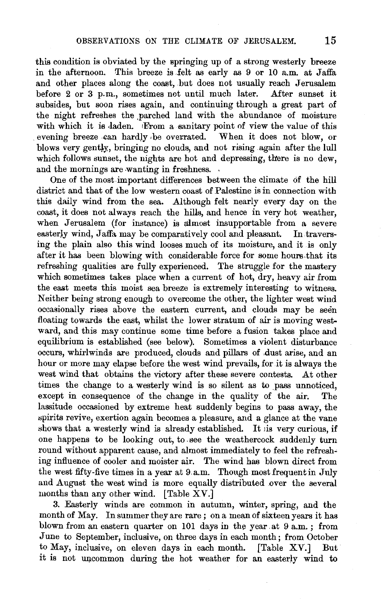this condition is obviated by the springing up of a strong westerly breeze in the afternoon. This breeze is felt as early as 9 or 10 a.m. at Jaffa and other places along the coast, but does not usually reach Jerusalem before 2 or 3 p.m., sometimes not until much later. After sunset it subsides, but soon rises again, and continuing through a great part of the night refreshes the parched land with the abundance of moisture with which it is laden. *Exom a sanitary point of view the value of this* evening breeze can hardly be overrated. When it does not blow, or blows very gently, bringing no clouds, and not rising again after the lull which follows sunset, the nights are hot and depressing, there is no dew, and the mornings are wanting in freshness.

One of the most important differences between the climate of the hill district and that of the low western coast of Palestine is in connection with this daily wind from the sea. Although felt nearly every day on the coast, it does not always reach the hills, and hence in very hot weather, when Jerusalem (for instance) is almost insupportable from a severe easterly wind, Jaffa may be comparatively cool and pleasant. In traversing the plain also this wind looses much of its moisture, and it is only after it has been blowing with considerable force for some hours.that its refreshing qualities are fully experienced. The struggle for the mastery which sometimes takes place when a current of hot, dry, heavy air from the east meets this moist sea breeze is extremely interesting to witness. Neither being strong enough to overcome the other, the lighter west wind occasionally rises above the eastern current, and clouds may be seen floating towards the east, whilst the lower stratum of air is moving westward, and this may continue some time before a fusion takes place and equilibrium is established (see below). Sometimes a violent disturbance occurs, whirlwinds are produced, clouds and pillars of .dust arise, and an hour or more may elapse before the west wind prevails, for it is always the west wind that obtains the victory after these severe contests. At other times the change to a westerly wind is so silent as to pass unnoticed, except in consequence of the change in the quality of the air. The lassitude occasioned by extreme heat suddenly begins to pass away, the spirits revive, exertion again becomes a pleasure, and a glance at the vane shows that a westerly wind is already established. It is very curious, if one happens to be looking out, to -see the weathercock suddenly turn round without apparent cause, and almost immediately to feel the refreshing influence of cooler and moister air. The wind has blown direct from the west fifty-five times in a year at 9.a.m. Though most frequent in July and August the west wind is more equally distributed over the several months than any other wind. [Table XV.]

3. Easterly winds are common in autumn, winter, spring, and the month of May. In summer they are rare; on a mean of sixteen years it has blown from an eastern quarter on 101 days in the year at  $9a.m.$ ; from June to September, inclusive, on three days in each month; from October to May, inclusive, on eleven days in each month. [Table XV.] But it is not uncommon during the hot weather for an easterly wind to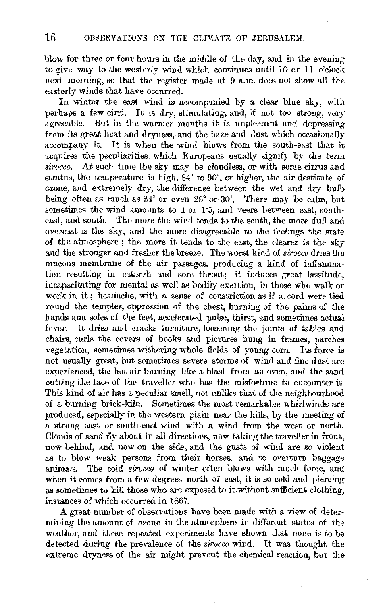blow for three or four hours in the middle of the day, and in the evening to give way to the westerly wind which continues until 10 or 11 o'clock next morning, so that the register made at 9 a.m. does not show all the easterly winds that have occurred.

In winter the east wind is accompanied by a clear blue sky, with perhaps a few cirri. It is dry, stimulating, and, if not too strong, very agreeable. But in the warmer months it is unpleasant and depressing from its great heat and dryness, and the haze and dust which occasionally accompany it. It is when the wind blows from the south-east that it acquires the peculiarities which Europeans usually signify by the term *sirocco.* At such time the sky may be cloudless, or with some cirrus and stratus, the temperature is high, 84° to 90°, or higher, the air destitute of ozone, and extremely dry, the difference between the wet and dry bulb being often as much as 24° or even 28° or 30°, There may be calm, but sometimes the wind amounts to 1 or 1'5, and veers between east, southeast, and south. The more the wind tends to the south, the more dull and overcast is the sky, and the more disagreeable to the feelings the state of the atmosphere ; the more it tends to the east, the clearer is the sky and the stronger and fresher the breeze. The worst kind of *sirocco* dries the mucous membrane of the air passages, producing a kind of inflammation resulting in catarrh and sore throat; it induces great lassitude, incapacitating for mental as well as bodily exertion, in those who walk or work in it ; headache, with a sense of constriction as if a. cord were tied round the temples, oppression of the chest, burning of the palms of the hands and soles of the feet, accelerated pulse, thirst, and sometimes actual fever. It dries and cracks furniture, loosening the joints of tables and chairs, curls the covers of books and pictures hung in frames, parches vegetation, sometimes withering whole fields of young corn. Its force is not usually great, but sometimes severe storms of wind and fine dust are experienced, the hot air burning like a blast from an oven, and the sand cutting the face of the traveller who has the misfortune to encounter it. This kind of air has a peculiar smell, not unlike that of the neighbourhood of a burning brick-kiln. Sometimes the most remarkable whirlwinds are produced, especially in the western plain near the hills, by the meeting of a strong east or south-east wind with a wind from the west or north. Clouds of sand fly about in all directions, now taking the traveller in front, now behind, and now on the side, and the gusts of wind are so violent as to blow weak persons from their horses, and to overturn baggage animals. The cold *sirocco* of winter often blows with much force, and when it comes from a few degrees north of east, it is so cold and piercing as sometimes to kill those who are exposed to it without sufficient clothing, instances of which occurred in 1867.

A great number of observations have been made with a view of determining the amount of ozone in the atmosphere in different states of the weather, and these repeated experiments have shown that none is to be detected during the prevalence of the *sirocco* wind. It was thought the extreme dryness of the air might prevent the chemical reaction, but the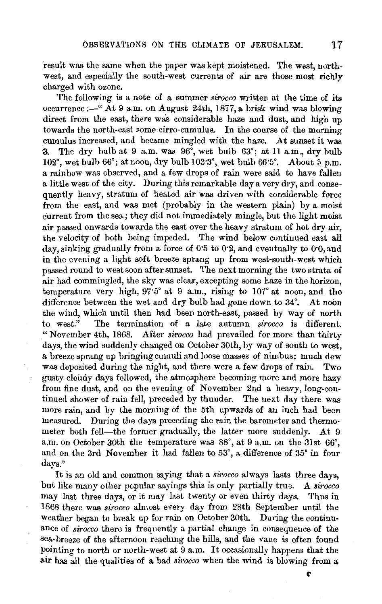result was the same when the paper was kept moistened. The west, northwest, and especially the south-west currents of air are those most richly charged with ozone.

The following is a note of a summer *sirocco* written at the time of its occurrence:-" At 9 a.m. on August 24th, 1877, a brisk wind was blowing direct from the east, there was considerable haze and dust, and high up towards the north-east some cirro-cumulus. In the course of the morning cumulus increased, and became mingled with the haze. At sunset it was 3. The dry bulb at 9 a.m. was  $96^\circ$ , wet bulb  $63^\circ$ ; at 11 a.m., dry bulb  $102^\circ$ , wet bulb  $66^\circ$ ; at noon, dry bulb  $103.3^\circ$ , wet bulb  $66.5^\circ$ . About 5 p.m. a rainbow was observed, and a few drops of rain were said to have fallen a little west of the city. During this remarkable day a very dry, and consequently heavy, stratum of heated air was driven with considerable force from the east, and was met (probably in the western plain) by a moist current from the sea; they did not immediately mingle, but the light moist air passed onwards towards the east over the heavy stratum of hot dry air, the velocity of both being impeded. The wind below continued east all day, sinking gradually from a force of 0"5 to 0·2, and eventually to o·o,and in the evening a light soft breeze sprang up from west-south-west which passed round to west soon after sunset. The next morning the two strata of air had commingled, the sky was clear, excepting some haze in the horizon, temperature very high, 97"5° at 9 a.m., rising to 107° at noon, and the difference between the wet and dry bulb had gone down to 34°. At noon the wind, which until then had been north-east, passed by way of north to west." The termination of a late autumn *sirocco* is different. "November 4th, 1868. After *sirocco* had prevailed for more than thirty days, the wind suddenly changed on October 30th, by way of south to west, a breeze sprang up bringing cumuli and loose masses of nimbus; much dew was deposited during the night, and there were a few drops of rain. Two gusty cloudy days followed, the atmosphere becoming more and more hazy from fine dust, and on the evening of November 2nd a heavy, long-continued shower of rain fell, preceded by thunder. The next day there was more rain, and by the morning of the 5th upwards of an inch had been measured. During the days preceding the rain the barometer and thermometer both fell—the former gradually, the latter more suddenly. At 9 a.m. on October 30th the temperature was  $88^\circ$ , at 9 a.m. on the 31st  $66^\circ$ , and on the 3rd November it had fallen to 53°, a difference of 35° in four days."

It is an old and common saying that a *sirocco* always lasts three days, but like many other popular sayings this is only partially true. *A sirocco*  may last three days, or it may last twenty or even thirty days. Thus in 1868 there was *sirocco* almost every day from 28th September until the weather began to break up for rain on October 30th. During the continuance of *sirocco* there is frequently a partial change in consequence of the sea-breeze of the afternoon reachmg the hills, and the vane is often found pointing to north or north-west at 9 a.m. It occasionally happens that the air has all the qualities of a bad *sirocco* when the wind is blowing from a;

('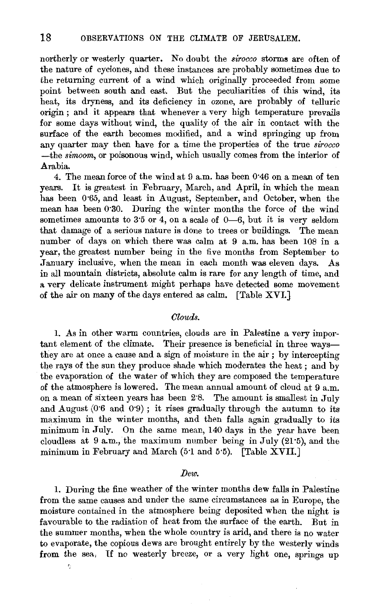northerly or westerly quarter. No doubt the *sirocco* storms are often of the nature of cyclones, and these instances are probably sometimes due to the returning current of a wind which originally proceeded from some point between south and east. But the peculiarities of this wind, its heat, its dryness, and its deficiency in ozone, are probably of telluric origin ; and it appears that whenever a very high temperature prevails for some days without wind, the quality of the air in contact with the surface of the earth becomes modified, and a wind springing up from any quarter may then have for a time the properties of the true *sirocco*  -the *simoom,* or poisonous wind, which usually comes from the interior of Arabia.

4. The mean force of the wind at 0 a.m. has been 0'46 on a mean of ten years. It is greatest in February, March, and April, in which the mean has been 0·65, and least in August, September, and October, when the mean has been 0'30. During the winter months the force of the wind sometimes amounts to  $35$  or  $4$ , on a scale of  $0-6$ , but it is very seldom that damage of a serious nature is done to trees or buildings. The mean number of days on which there was calm at 9 a.m. has been 108 in a year, the greatest number being in the five months from September to January inclusive, when the mean in each month was eleven days. As in all mountain districts, absolute calm is rare for any length of time, and a very delicate instrument might perhaps have detected some movement of the air on many of the days entered as calm, [Table XVI.]

#### *Clouds.*

1. As in other warm countries, clouds are in Palestine a very important element of the climate. Their presence is beneficial in three waysthey are at once a cause and a sign of moisture in the air ; by intercepting the rays of the sun they produce shade which moderates the heat ; and by the evaporation of the water of which they are composed the temperature of the atmosphere is lowered. The mean annual amount of cloud at 9 a.m. on a mean of sixteen years has been 2'8. The amount is smallest in July and August  $(0.6$  and  $0.9)$ ; it rises gradually through the autumn to its maximum in the winter months, and then falls again gradually to its minimum in July. On the same mean, 140 days in the year have been cloudless at 9 a.m., the maximum number being in July (21·5), and the minimum in February and March (5·1 and 5'5). [Table XVII.]

### *Dew.*

1. During the fine weather of the winter months dew falls in Palestine from the same causes and under the same circumstances as in Europe, the moisture contained in the atmosphere being deposited when the night is favourable to the radiation of heat from the surface of the earth. But in the summer months, when the whole country is arid, and there is no water to evaporate, the copious dews are brought entirely by the westerly winds from the sea, If no westerly breeze, or a very light one, springs up

ŕ.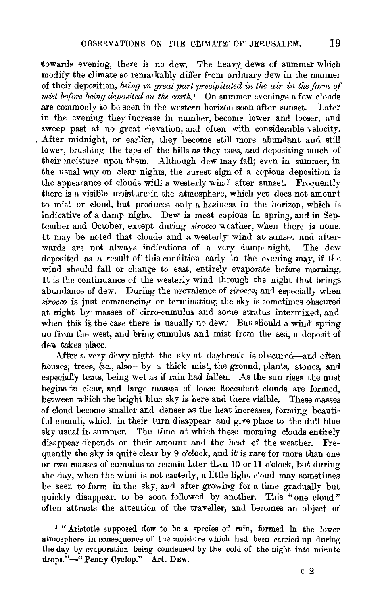towards evening, there is no dew. The heavy dews of summer which modify the climate so remarkably differ from ordinary dew in the manner of their deposition, *being in great part precipitated in the air in the form of mist before being deposited on the earth.'* On summer evenings a few clouds are commonly to be seen in the western horizon soon after sunset. Later in the evening they increase in number, become lower and looser, and sweep past at no great elevation, and often with considerable velocity. After midnight, or earlier, they become still more abundant and still lower, brushing the teps of the hills as they pass, and depositing much of their moisture upon them. Although dew may fall; even in summer, in the usual way on clear nights, the surest sign of a copious deposition is the appearance of clouds with a westerly wind after sunset. Frequently there is a visible moisture in the atmosphere, which yet does not amount to mist or cloud, but produces only a haziness in the horizon, which is indicative of a damp night. Dew is most copious in spring, and in September and October, except during *sirocco* weather, when there is none. It may be noted that clouds and a westerly wind at sunset and afterwards are not always indications of a very damp-night. The dew deposited as a result of this condition early in the evening may, if tl e wind should fall or change to east, entirely evaporate before morning. It is the continuance of the westerly wind through the night that brings abundance of dew. During the prevalence of *sirocco,* and especially when *sirocco* is just commencing or terminating, the sky is sometimes obscured at night by· masses of cirro-cumulus and some stratus intermixed, and when this is the case there is usually no dew. But should a wind spring up from the west, and bring cumulus and mist from the sea, a deposit of dew takes place.

After a very dewy night the sky at daybreak is obscured-and often houses; trees, &c., also--by a thick mist, the ground, plants, stones, and especially tents, being wet as if rain had fallen. As the sun rises the mist begins to clear, and large masses of loose flocculent clouds are formed, between which the bright blue sky is here and there visible. These masses of cloud become smaller and denser as the heat increases, forming beautiful cumuli; which in their turn disappear and give place to the-dull blue sky usual in summer. The time at which these moming clouds entirely disappear depends on their amount and the heat of the weather.. Frequently the sky is quite clear by 9 o'clock, and it is rare for more than one or two masses of cumulus to remain later than 10 or 11 o'clock, but during the day, when the wind is not easterly, a little light cloud may sometimes be seen to form in the sky, and after growing for a time gradually but quickly disappear, to be soon followed by another. This "one cloud" often attracts the attention of the traveller, and becomes an object of

1 "Aristotle supposed dew to be a species of rain, formed in the lower atmosphere in consequence of the moisture which had been carried up during the day by evaporation being condensed by the cold of the night into minute drops."-" Penny Cyclop." Art. DEw.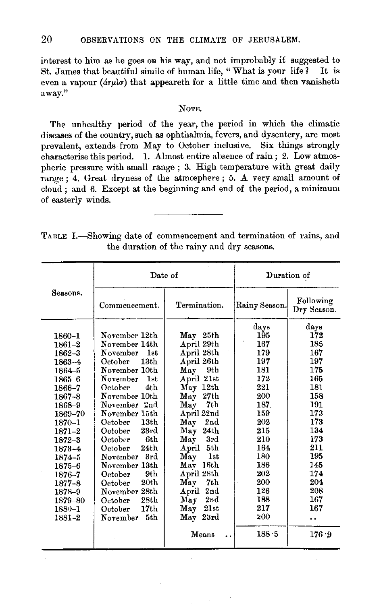interest to him as he goes on his way, and not improbably it suggested to St. James that beautiful simile of human life, "What is your life? It is even a vapour ( $d\tau\mu\lambda\sigma$ ) that appeareth for a little time and then vanisheth away."

## NoTE.

The unhealthy period of the year, the period in which the climatic diseases of the country, such as ophthalmia, fevers, and dysentery, are most prevalent, extends from May to October inclusive. Six things strongly characterise this period. 1. Almost entire absence of rain ; 2. Low atmospheric pressure with small range ; 3. High temperature with great daily range ; 4. Great dryness of the atmosphere ; 5. A very small amount of cloud ; and 6. Except at the beginning and end of the period, a minimum of easterly winds.

TABLE I.-Showing date of commencement and termination of rains, and the duration of the rainy and dry seasons.

|                                                                                                                                                                                                                                        | Date of                                                                                                                                                                                                                                                                                                                                                                                                                                                           |                                                                                                                                                                                                                                                                                                                                                                                                 |                                                                                                                                                                         | Duration of                                                                                                                                                            |
|----------------------------------------------------------------------------------------------------------------------------------------------------------------------------------------------------------------------------------------|-------------------------------------------------------------------------------------------------------------------------------------------------------------------------------------------------------------------------------------------------------------------------------------------------------------------------------------------------------------------------------------------------------------------------------------------------------------------|-------------------------------------------------------------------------------------------------------------------------------------------------------------------------------------------------------------------------------------------------------------------------------------------------------------------------------------------------------------------------------------------------|-------------------------------------------------------------------------------------------------------------------------------------------------------------------------|------------------------------------------------------------------------------------------------------------------------------------------------------------------------|
| Seasons.                                                                                                                                                                                                                               | Commencement.                                                                                                                                                                                                                                                                                                                                                                                                                                                     | Termination.                                                                                                                                                                                                                                                                                                                                                                                    | Rainy Season.                                                                                                                                                           | Following<br>Dry Season.                                                                                                                                               |
| 1860-1<br>$1861 - 2$<br>1862-3<br>1863-4<br>1864-5<br>$1865 - 6$<br>1866-7<br>1867-8<br>1868-9<br>1869-70<br>1870–1<br>1871-2<br>$1872 - 3$<br>1873-4<br>1874-5<br>1875-6<br>1876-7<br>1877-8<br>1878-9<br>1879-80<br>1880-1<br>1881-2 | November 12th<br>November 14th<br>November<br>1st<br>13 <sub>th</sub><br>October<br>November 10th<br>November<br>1st<br>4 <sub>th</sub><br>October<br>November 10th<br>November 2nd<br>November 15th<br>October<br>13th<br>23rd<br>October<br>6th<br>October<br>24 <sub>th</sub><br>Octobe <b>r</b><br>November 3rd<br>November 13th<br>9th<br>October<br>20 <sub>th</sub><br>October<br>November 28th<br>28th<br>October -<br>17th<br>October<br>5th<br>November | May 25th<br>April 29th<br>April 28th<br>April 26th<br>May 9th<br>April 21st<br>May 12th<br>27th<br>May<br>7th<br>May<br>April 22nd<br>2 <sub>nd</sub><br>May<br>May<br>24th<br>May<br>3rd<br>5th<br>$_{\rm April}$<br><b>1st</b><br>Мау<br>May 16th<br>April 28th<br>Мау<br>7th<br>$A\,{\rm pril}$<br>2nd<br>2nd<br>May<br>$\mathbf{M}\mathbf{a}\mathbf{v}$<br>21st<br>May 23rd<br>Means<br>. . | days<br>195<br>167<br>179<br>197<br>181<br>172<br>221<br>200<br>187<br>159<br>202<br>215<br>210<br>164<br>180<br>186<br>202<br>200<br>126<br>188<br>217<br>200<br>188.5 | days<br>172<br>185<br>167<br>197<br>175<br>165<br>181<br>158<br>191<br>173<br>173<br>134<br>173<br>211<br>195<br>145<br>174<br>204<br>208<br>167<br>167<br>٠.<br>176.9 |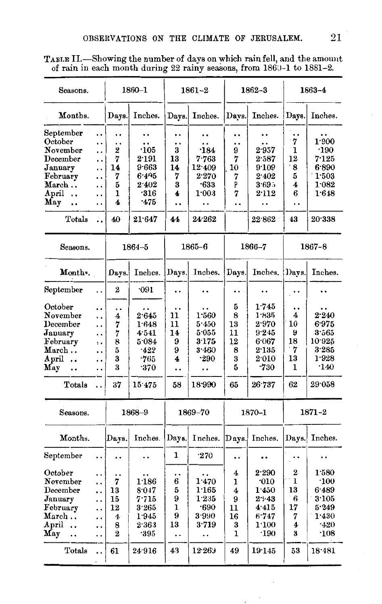| Seasons.                      |                      |                         | $1860 - 1$             |              | 1861–2      |                      | 1862-3      |                      | 1863–4        |
|-------------------------------|----------------------|-------------------------|------------------------|--------------|-------------|----------------------|-------------|----------------------|---------------|
| Months.                       |                      | Days.                   | Inches.                | Days.        | Inches.     | Days.                | Inches.     | Days.                | Inches.       |
| ${\bf September}$             | . .                  |                         |                        | ٠.           |             | $\cdot$              | . .         | . .                  |               |
| October                       | . .                  | . .                     | . .                    | . .          |             | . .                  | . .         | 7                    | 1.900         |
| November                      | . .                  | 2                       | ·105                   | 3            | $\cdot$ 184 | 9                    | 2.957       | ı                    | ·190          |
| $\rm December$                | . .                  | 7                       | $2\mathord{\cdot} 191$ | 13           | 7.763       | 7                    | 2.587       | 12                   | 7.125         |
| January                       | . .                  | 14                      | 9.663                  | 14           | 12.409      | 10                   | 9.109       | 8                    | 6.890         |
| February                      | . .                  | 7                       | 6.495                  | 7            | 2.270       | 7                    | 2.402       | 5                    | 1.503         |
| March                         | . .                  | 5                       | 2.402                  | 3            | $-633$      | þ.                   | 3.69.5      | 4                    | 1.082         |
| April<br>$\ddot{\phantom{0}}$ | . .                  | 1                       | $\cdot$ 316            | 4            | 1:003       | 7                    | 2.112       | 6                    | 1.648         |
| May<br>. .                    | $\ddot{\phantom{0}}$ | 4                       | .475                   |              | . .         | . .                  | . .         | $\ddot{\phantom{0}}$ |               |
| Totals                        | Ξ.                   | 40                      | 21.647                 | 44           | 24.262      |                      | 22.862      | 43                   | 20.338        |
| Seasons.                      |                      |                         | $1864 - 5$             |              | $1865 - 6$  |                      | 1866-7      |                      | 1867-8        |
| Month.                        |                      | Days.                   | Inches.                | Days.        | Inches.     | Days.                | Inches.     | Davs.                | Inches.       |
| September                     | $\ddot{\phantom{0}}$ | $\overline{\mathbf{2}}$ | 091                    | . .          |             | $\ddot{\phantom{0}}$ | . .         | $\cdot$              | $\cdot$       |
| October                       | . .                  | . .                     | . .                    | . .          | . .         | 5                    | 1.745       |                      |               |
| November                      | . .                  | 4                       | 2.645                  | 11           | 1:560       | 8                    | 1.835       | 4                    | 2.240         |
| December                      | . .                  | 7                       | 1.648                  | 11           | 5.450       | 13                   | 2.970       | 10                   | 6.975         |
| January                       | . .                  | 7                       | 4:541                  | 14           | 5.055       | 11                   | 9.245       | у                    | 3.565         |
| February                      | $\ddot{\phantom{a}}$ | 8                       | 5.084                  | 9            | 3.175       | 12                   | 6.067       | 18                   | 10.925        |
| March                         | . .                  | 5                       | $-422$                 | 9            | 3.460       | 8                    | 2.135       | 7                    | 3.285         |
| April<br>$\ddot{\phantom{a}}$ | . .                  | 3                       | -765                   | 4            | -290        | 3                    | 2.010       | 13                   | 1.928         |
| May                           | . .                  | 3                       | -370                   | . .          | . .         | 5                    | $-730$      | 1                    | $\cdot$ 140   |
| Totals                        | . .                  | 37                      | 15.475                 | 58           | 18.990      | 65                   | 26.737      | 62                   | 29.058        |
| Seasons.                      |                      |                         | 1868-9                 |              | 1869-70     |                      | $1870 - 1$  |                      | 1871-2        |
| Months.                       |                      | Davs.                   | Inches.                | Days.        | Inches.     | Days.                | Inches.     |                      | Days. Inches. |
| September                     | $\ddot{\phantom{0}}$ | . .                     | $\cdot$ .              | 1            | $\cdot$ 270 |                      |             |                      |               |
| October                       | $\ddot{\phantom{0}}$ |                         |                        | . .          |             | 4                    | 2.290       | 2                    | 1.580         |
| November                      | . .                  | 7                       | 1.186                  | 6            | 1.470       | ı                    | $\cdot$ 010 | 1                    | $\cdot$ 100   |
| December                      | . .                  | 13                      | 8.047                  | 5            | 1.165       | 4                    | 1.450       | 13                   | 6.489         |
| January                       |                      | 15                      | 7.715                  | 9            | 1.235       | 9                    | 2.43        | 6                    | 3.105         |
| February                      | . .                  | 12                      | 3.265                  | $\mathbf{I}$ | -690        | 11                   | 4.415       | 17                   | 5.249         |
| $\rm March$                   | . .                  | $\overline{\mathbf{4}}$ | 1.945                  | 9            | 3.990       | 16                   | 6.747       | 7                    | 1.430         |
| April<br>$\ddot{\phantom{0}}$ | . .                  | 8                       | 2.363                  | 13           | 3.719       | 3                    | 1:100       | 4                    | $-420$        |
| May<br>                       | . .                  | $\overline{2}$          | -395                   | . .          | . .         | 1                    | $\cdot$ 190 | 3                    | $\cdot$ 108   |
| Totals                        | $\ddot{\phantom{0}}$ | 61                      | 24.916                 | 43           | 12.263      | 49                   | 19.145      | 53                   | 18.481        |

TABLE H.-Showing the number of days on which rain fell, and the amount of rain in each month during  $22$  rainy seasons, from  $1860-1$  to  $1881-2$ .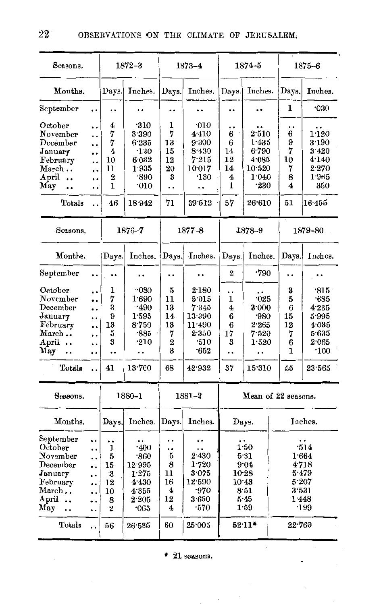| Seasons.                                                                                                           |                                                                                          |                                                                                      | $1872 - 3$                                                                             |                                                             | $1873 - 4$                                                                           |                                                                                  | $1874 - 5$                                                              |                                                          |                                                         | $1875 - 6$                                                                                |
|--------------------------------------------------------------------------------------------------------------------|------------------------------------------------------------------------------------------|--------------------------------------------------------------------------------------|----------------------------------------------------------------------------------------|-------------------------------------------------------------|--------------------------------------------------------------------------------------|----------------------------------------------------------------------------------|-------------------------------------------------------------------------|----------------------------------------------------------|---------------------------------------------------------|-------------------------------------------------------------------------------------------|
| Months.                                                                                                            |                                                                                          | Days.                                                                                | Inches.                                                                                | Days.                                                       | Inches.                                                                              | Days.                                                                            | Inches.                                                                 |                                                          | Days.                                                   | Inches.                                                                                   |
| September                                                                                                          | . .                                                                                      |                                                                                      | ٠.                                                                                     |                                                             |                                                                                      | . .                                                                              |                                                                         |                                                          | ı                                                       | 030                                                                                       |
| October<br>November<br>December<br>January<br>February<br>March<br>April<br>May<br>Totals                          | <br>. .<br><br>$\ddot{\phantom{0}}$<br><br><br><br>. .<br>. .                            | 4<br>7<br>7<br>$\overline{\mathbf{4}}$<br>10<br>11<br>$\bf{2}$<br>$\mathbf{1}$<br>46 | ·310<br>3.390<br>6.235<br>$\cdot$ 130<br>6.032<br>1.935<br>.890<br>0.010<br>18.942     | ı<br>7<br>13<br>15<br>12<br>20<br>3<br>. .<br>71            | 010<br>4.410<br>9.300<br>8.430<br>7.215<br>10.017<br>$\cdot$ 130<br><br>39.512       | . .<br>6<br>6<br>14<br>12<br>14<br>4<br>$\bf{1}$<br>57                           | 2.510<br>1.435<br>6.790<br>4.085<br>10.520<br>1.040<br>$-230$<br>26.610 |                                                          | 6<br>9<br>7<br>10<br>7<br>8<br>4<br>51                  | . .<br>1:120<br>3.190<br>3.420<br>4.140<br>$2\cdot 270$<br>1.965<br>350<br>16.455         |
|                                                                                                                    |                                                                                          |                                                                                      |                                                                                        |                                                             |                                                                                      |                                                                                  |                                                                         |                                                          |                                                         |                                                                                           |
| Seasons.                                                                                                           |                                                                                          |                                                                                      | $1876 - 7$                                                                             |                                                             | $1877 - 8$                                                                           | 1878-9                                                                           |                                                                         |                                                          |                                                         | 1879–80                                                                                   |
| Months.                                                                                                            |                                                                                          | Days.                                                                                | Inches.                                                                                | Days.                                                       | Inches.                                                                              | Days.                                                                            | Inches.                                                                 |                                                          | Days.                                                   | Inches.                                                                                   |
| September                                                                                                          |                                                                                          |                                                                                      | . .                                                                                    | . .                                                         | . .                                                                                  | 2                                                                                | -790                                                                    |                                                          | ٠.                                                      |                                                                                           |
| October<br>November<br>December<br>January<br>February<br>March<br>April<br>May<br>$\ddot{\phantom{a}}$<br>'Totals | <br><br><br><br>٠.<br>. .<br><br><br>$\ddot{\phantom{a}}$                                | 1<br>7<br>3<br>9<br>13<br>5<br>3<br><br>41                                           | $-080$<br>1.690<br>$-490$<br>1.595<br>8.759<br>$-885$<br>$\cdot$ 210<br><br>$13 - 700$ | 5<br>11<br>13<br>14<br>13<br>7<br>$\overline{2}$<br>3<br>68 | 2.180<br>5.015<br>7345<br>13.390<br>11.490<br>2.350<br>$\cdot$ 510<br>.652<br>42.932 | <br>1<br>4<br>6<br>6<br>17<br>3<br><br>37                                        | $-025$<br>3.000<br>.980<br>2.265<br>7.520<br>1.520<br><br>15.310        |                                                          | 3<br>5<br>6<br>15<br>12<br>7<br>6<br>$\mathbf{1}$<br>55 | $\cdot$ 815<br>.685<br>4.235<br>5.995<br>4.035<br>5.635<br>2.065<br>$\cdot 100$<br>23.565 |
| Seasons.                                                                                                           |                                                                                          |                                                                                      | 1880-1                                                                                 |                                                             | $1881 - 2$                                                                           |                                                                                  | Mean of 22 seasons.                                                     |                                                          |                                                         |                                                                                           |
| Months.                                                                                                            |                                                                                          | Days.                                                                                | Inches.                                                                                | Days.                                                       | Inches.                                                                              |                                                                                  | Days.                                                                   |                                                          |                                                         | Inches.                                                                                   |
| September<br>October<br>November<br>December<br>January<br>February<br>March<br>April.<br>May<br><br>Totals        | <br><br>$\ddot{\phantom{0}}$<br><br>. .<br><br>. .<br>. .<br>. .<br>$\ddot{\phantom{a}}$ | ٠.<br>1<br>5<br>15<br>-3<br>12<br>10<br>8<br>$\bf{2}$<br>56                          | .400<br>.860<br>12.995<br>1.275<br>4.430<br>4.355<br>2.205<br>$\cdot$ 065<br>26:585    | . .<br><br>5<br>8<br>11<br>16<br>4<br>12<br>4<br>60         | <br>2.430<br>1.720<br>3.075<br>12.590<br>-970<br>3.650<br>-570<br>25.005             | ٠.<br>1.50<br>5.31<br>9.04<br>10.28<br>10.43<br>8:51<br>5:45<br>1.59<br>$52.11*$ |                                                                         | ٠.<br>1.664<br>4.718<br>5.479<br>5.207<br>3.531<br>1.448 |                                                         | .514<br>·199<br>22.760                                                                    |
|                                                                                                                    |                                                                                          |                                                                                      |                                                                                        |                                                             |                                                                                      |                                                                                  |                                                                         |                                                          |                                                         |                                                                                           |

 $*$  21 seasons.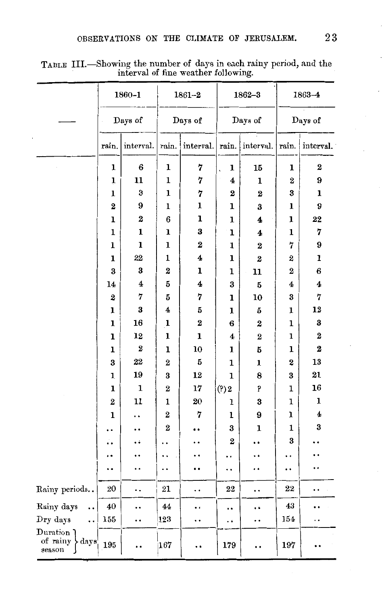|                                                  |                         | $1860 - 1$              |                  | $1861 - 2$ |                      | $1862 - 3$       |             | $1863 - 4$       |  |
|--------------------------------------------------|-------------------------|-------------------------|------------------|------------|----------------------|------------------|-------------|------------------|--|
|                                                  |                         | Days of                 |                  | Days of    |                      | Days of          |             | Days of          |  |
|                                                  | rain.                   | interval.               | rain.            | interval.  | rain.                | interval.        | rain.       | interval.        |  |
|                                                  | 1                       | 6                       | ı                | 7          | ı                    | 15               | ı           | $\boldsymbol{2}$ |  |
|                                                  | 1                       | 11                      | 1                | 7          | 4                    | $\mathbf 1$      | $\mathbf 2$ | 9                |  |
|                                                  | ı                       | 3                       | 1                | 7          | $\bf{2}$             | $\bf{2}$         | 3           | 1                |  |
|                                                  | $\overline{\mathbf{2}}$ | 9                       | ı                | 1          | 1                    | 3                | ı           | 9                |  |
|                                                  | ı                       | 2                       | 6                | ı          | ı                    | 4                | 1           | 22               |  |
|                                                  | ı                       | 1                       | ı                | 3          | ı                    | 4                | 1           | 7                |  |
|                                                  | $\mathbf{1}$            | $\mathbf{I}$            | ı                | $\bf{z}$   | 1                    | 2                | 7           | 9                |  |
|                                                  | ı                       | 22                      | 1                | 4          | 1                    | $\boldsymbol{2}$ | 2           | ı                |  |
|                                                  | 3                       | 3                       | 2                | ı          | 1                    | 11               | $\bf{2}$    | 6                |  |
|                                                  | 14                      | $\overline{\mathbf{4}}$ | 5                | 4          | 3                    | 5                | 4           | 4                |  |
|                                                  | $\boldsymbol{2}$        | 7                       | 5                | 7          | ı                    | 10               | 3           | 7                |  |
|                                                  | ı                       | 3                       | 4                | 5          | 1                    | 5                | ı           | 12               |  |
|                                                  | 1                       | 16                      | ı                | $\bf{2}$   | 6                    | $\boldsymbol{2}$ | 1           | 3                |  |
|                                                  | ı                       | 12                      | ı                | ı          | 4                    | $\overline{2}$   | 1           | $\mathbf 2$      |  |
|                                                  | ı                       | $\bf{z}$                | ı                | 10         | 1                    | 5                | ı           | $\bf{2}$         |  |
|                                                  | 3                       | 22                      | $\overline{2}$   | 5          | 1                    | ı                | 2           | 13               |  |
|                                                  | 1                       | 19                      | 3                | 12         | 1                    | 8                | 3           | 21               |  |
|                                                  | 1                       | $\mathbf 1$             | $\boldsymbol{2}$ | 17         | (?) 2                | þ                | 1           | 16               |  |
|                                                  | $\overline{2}$          | 11                      | 1                | 20         | 1                    | 3                | ı           | 1                |  |
|                                                  | ı                       |                         | $\overline{2}$   | 7          | ı                    | 9                | 1           | 4                |  |
|                                                  |                         |                         | 2                |            | 3                    | 1                | 1           | 3                |  |
|                                                  |                         |                         |                  |            | $\overline{2}$       |                  | 3           |                  |  |
|                                                  |                         |                         |                  |            |                      |                  |             |                  |  |
|                                                  |                         | . .                     | . .              |            | . .                  | . .              |             |                  |  |
| Rainy periods. .                                 | 20                      | . .                     | 21               | . .        | 22                   | . .              | 22          |                  |  |
| Rainy days<br>                                   | 40                      | . .                     | 44               |            | $\ddot{\phantom{0}}$ | . .              | 43          |                  |  |
| Dry days<br>. .                                  | 155                     | ٠.                      | 123              | . .        | . .                  | . .              | 154         | . .              |  |
| $\mathbf{Duration}$<br>of rainy > days<br>season | 195                     | . .                     | 167              |            | 179                  |                  | 197         |                  |  |

TABLE III.—Showing the number of days in each rainy period, and the interval of fine weather following.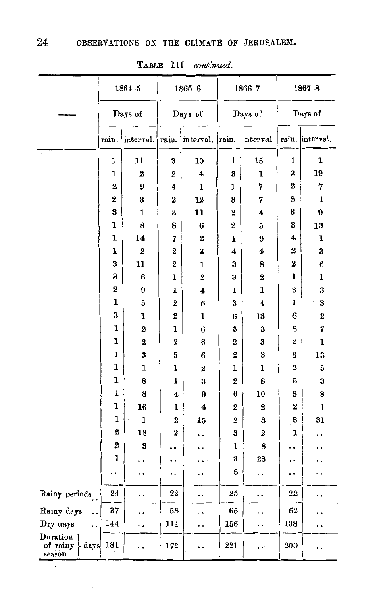|                                            | $1864 - 5$       |                |                  | $1865 - 6$       |                         | 1866-7               | 1867-8   |                 |  |
|--------------------------------------------|------------------|----------------|------------------|------------------|-------------------------|----------------------|----------|-----------------|--|
|                                            |                  |                |                  |                  |                         |                      |          |                 |  |
|                                            |                  | Days of        |                  | Days of          |                         | Days of              | Days of  |                 |  |
|                                            | rain.            | interval.      | rain.            | interval.        | rain.                   | nterval.             |          | rain. interval. |  |
|                                            | 1                | 11             | 3                | 10               | 1                       | 15                   | 1        | ı               |  |
|                                            | 1                | 2              | 2                | 4                | 3                       | ı                    | 3        | 19              |  |
|                                            | 2                | 9              | 4                | 1                | 1                       | 7                    | 2        | 7               |  |
|                                            | 2                | 3              | 2                | 12               | 3                       | 7                    | 2        | 1               |  |
|                                            | 3                | 1              | 3                | 11               | $\boldsymbol{2}$        | 4                    | 3        | 9               |  |
|                                            | ı                | 8              | 8                | $\bf{6}$         | $\overline{\mathbf{2}}$ | 5                    | 3        | ${\bf 13}$      |  |
|                                            | ı                | 14             | 7                | $\boldsymbol{2}$ | ı                       | 9                    | 4        | ı               |  |
|                                            | ı                | $\bf{2}$       | $\overline{2}$   | 3                | 4                       | 4                    | 2        | 3               |  |
|                                            | 3                | 11             | 2                | 1                | 3                       | 8                    | 2        | 6               |  |
|                                            | 3                | 6              | ı                | $\boldsymbol{2}$ | 3                       | $\boldsymbol{2}$     | 1        | 1               |  |
|                                            | 2                | 9              | 1                | $\boldsymbol{4}$ | ı                       | 1                    | 3        | 3               |  |
|                                            | 1                | 5              | 2                | 6                | 3                       | 4                    | 1        | 3               |  |
|                                            | 3                | ı              | $\boldsymbol{2}$ | 1                | 6                       | 13                   | 6        | $\bf{2}$        |  |
|                                            | ı                | $\overline{2}$ | ı                | 6                | 3                       | 3                    | 8        | 7               |  |
|                                            | ı                | $\bf{2}$       | $\boldsymbol{2}$ | 6                | $\boldsymbol{2}$        | 3                    | 2        | ı               |  |
|                                            | 1                | 3              | 5                | 6                | $\bf{2}$                | 3                    | 3        | 13              |  |
|                                            | 1                | ı              | 1                | 2                | ı                       | ı                    | 2        | 5               |  |
|                                            | ı                | 8              | ı                | 3                | 2                       | 8                    | 5        | 3               |  |
|                                            | 1                | 8              | 4                | 9                | 6                       | 10                   | 3        | 8               |  |
|                                            | ı                | 16             | ı                | 4                | 2                       | 2                    | $\bf{2}$ | 1               |  |
|                                            | 1                | ı              | 2                | 15               | $\mathbf 2$ .           | 8                    | 3        | 31              |  |
|                                            | $\boldsymbol{2}$ | 18             | 2                | ٠.               | 3.                      | $\boldsymbol{2}$     | 1        |                 |  |
|                                            | 2                | 3              |                  |                  | 1                       | 8                    |          |                 |  |
|                                            | 1                |                |                  |                  | 3                       | 28                   |          |                 |  |
|                                            |                  | . .            | ٠.               |                  | 5                       | . .                  |          | . .             |  |
| Rainy periods                              | 24               | . .            | 22               | . .              | 25                      |                      | 22       | . .             |  |
| Rainy days<br>. .                          | 37.              | . .            | 58               | . .              | 65                      | ٠.                   | 62       | . .             |  |
| Dry days<br>                               | 144              | . .            | 114              | . .              | 156                     |                      | 138      |                 |  |
| Duration ?<br>of rainy<br>  days<br>season | 181              | . .            | 172              |                  | 221                     | $\ddot{\phantom{a}}$ | 200      | . .             |  |

TABLE III-continued.

 $\sim$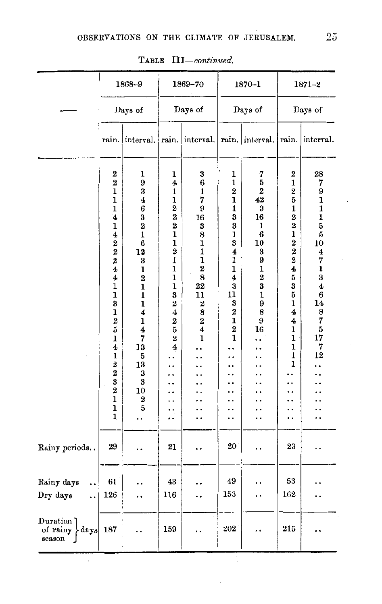|                                                    |                                                                                                                                                                                                                                                                                                                          | 1868-9                                                                                                                                                                                                                                                      |                                                                                                                                                                                                                                                                                                                                 | 1869-70                                                                                                                                                                                      |                                                                                                                                               | 1870-1                                                                                                                                                |                                                                                                                                                                                              | $1871 - 2$                                                                                                                                                               |
|----------------------------------------------------|--------------------------------------------------------------------------------------------------------------------------------------------------------------------------------------------------------------------------------------------------------------------------------------------------------------------------|-------------------------------------------------------------------------------------------------------------------------------------------------------------------------------------------------------------------------------------------------------------|---------------------------------------------------------------------------------------------------------------------------------------------------------------------------------------------------------------------------------------------------------------------------------------------------------------------------------|----------------------------------------------------------------------------------------------------------------------------------------------------------------------------------------------|-----------------------------------------------------------------------------------------------------------------------------------------------|-------------------------------------------------------------------------------------------------------------------------------------------------------|----------------------------------------------------------------------------------------------------------------------------------------------------------------------------------------------|--------------------------------------------------------------------------------------------------------------------------------------------------------------------------|
|                                                    |                                                                                                                                                                                                                                                                                                                          | Days of                                                                                                                                                                                                                                                     |                                                                                                                                                                                                                                                                                                                                 | Days of                                                                                                                                                                                      |                                                                                                                                               | Days of                                                                                                                                               | Days of                                                                                                                                                                                      |                                                                                                                                                                          |
|                                                    | rain.                                                                                                                                                                                                                                                                                                                    | interval.                                                                                                                                                                                                                                                   | rain.                                                                                                                                                                                                                                                                                                                           | interval.                                                                                                                                                                                    | rain.                                                                                                                                         | interval.                                                                                                                                             | rain.                                                                                                                                                                                        | interval.                                                                                                                                                                |
|                                                    | 2<br>$\overline{2}$<br>$\mathbf 1$<br>$\mathbf 1$<br>ı<br>$\ddot{\textbf{4}}$<br>1<br>4<br>$\bf{2}$<br>$\overline{\mathbf{2}}$<br>$\overline{\mathbf{2}}$<br>4<br>4<br>1<br>$\mathbf 1$<br>3<br>1<br>$\mathbf 2$<br>5<br>1<br>4<br>ı<br>$\bf{2}$<br>$\mathbf 2$<br>3<br>$\overline{\mathbf{2}}$<br>$\mathbf 1$<br>ı<br>1 | 1<br>9<br>3<br>4<br>$\boldsymbol{6}$<br>3<br>$\overline{\mathbf{2}}$<br>$\mathbf{1}$<br>$\bf{6}$<br>12<br>3<br>1<br>$\overline{2}$<br>$\mathbf 1$<br>$\mathbf{1}$<br>ı<br>4<br>ı<br>$\overline{\mathbf{4}}$<br>7<br>13<br>5<br>13<br>3<br>3<br>10<br>2<br>5 | 1<br>4<br>1<br>$\mathbf{1}$<br>$\overline{\mathbf{2}}$<br>$\overline{\mathbf{2}}$<br>2<br>1<br>$\mathbf{1}$<br>$\overline{2}$<br>$\mathbf{1}$<br>$\overline{\mathbf{1}}$<br>$\mathbf{1}$<br>1<br>3<br>$\bf{2}$<br>$\overline{\mathbf{4}}$<br>$\frac{2}{5}$<br>$\mathbf{z}$<br>4<br>. .<br>. .<br>. .<br>. .<br>. .<br>. .<br>٠. | 3<br>6<br>$\mathbf{1}$<br>7<br>9<br>16<br>3<br>8<br>1<br>1<br>$\mathbf 1$<br>$\overline{\mathbf{2}}$<br>8<br>22<br>11<br>2<br>8<br>$\bf 2$<br>$\overline{\mathbf{4}}$<br>$\mathbf{1}$<br>. . | 1<br>1<br>$\bf{2}$<br>$\mathbf 1$<br>ı<br>3<br>3<br>1<br>3<br>$\overline{\mathbf{4}}$<br>1<br>1<br>4<br>3<br>11<br>3<br>2<br>ı<br>2<br>ı<br>٠ | 7<br>5<br>$\bf{2}$<br>42<br>3<br>16<br>1<br>6<br>10<br>3<br>9<br>$\mathbf{1}$<br>$\overline{2}$<br>3<br>$\mathbf 1$<br>9<br>8<br>9<br>16<br>٠.<br>. . | 2<br>1<br>$\frac{2}{5}$<br>$\mathbf{1}$<br>$\frac{2}{2}$<br>$\mathbf{1}$<br>$2\,2\,2\,4$<br>$\frac{5}{3}$<br>5<br>$\mathbf 1$<br>4<br>4<br>1<br>1<br>1<br>1<br>1<br>. .<br>. .<br>. .<br>. . | 28<br>7<br>9<br>$\mathbf{1}$<br>$\mathbf{1}$<br>$\mathbf 1$<br>$\bf{5}$<br>5<br>10<br>4<br>7<br>$\mathbf{1}$<br>$\bf{3}$<br>4<br>6<br>14<br>8<br>7<br>5<br>17<br>7<br>12 |
| Rainy periods                                      | 29                                                                                                                                                                                                                                                                                                                       | . .                                                                                                                                                                                                                                                         | 21                                                                                                                                                                                                                                                                                                                              |                                                                                                                                                                                              | 20                                                                                                                                            |                                                                                                                                                       | 23                                                                                                                                                                                           |                                                                                                                                                                          |
| Rainy days<br><br>Dry days<br>$\ddot{\phantom{0}}$ | 61<br>126                                                                                                                                                                                                                                                                                                                |                                                                                                                                                                                                                                                             | 43<br>116                                                                                                                                                                                                                                                                                                                       |                                                                                                                                                                                              | 49<br>153                                                                                                                                     |                                                                                                                                                       | 53<br>162                                                                                                                                                                                    |                                                                                                                                                                          |
| Duration<br>of rainy<br>days<br>season             | 187                                                                                                                                                                                                                                                                                                                      |                                                                                                                                                                                                                                                             | 159                                                                                                                                                                                                                                                                                                                             | . .                                                                                                                                                                                          | $202^{\circ}$                                                                                                                                 |                                                                                                                                                       | 215                                                                                                                                                                                          |                                                                                                                                                                          |

 $\bar{z}$ 

TABLE *III-continued.*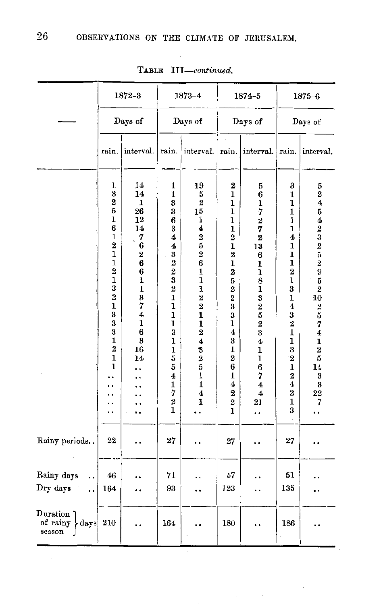|                                          |                                                                                                                                                                                                                           | $1872 - 3$                                                                                                                                                                                                                               |                                                                                                                                                                                                                                                                                        | $1873 - 4$                                                                                                                                                                                                                                                                                               |                                                                                                                                                                                                                                                                                                                                      | $1874 - 5$                                                                                                                                                                                                                                                                                                                  |                                                                                                                                                                                                                                                                                                                   | $1875 - 6$                                                                                                                                                                                                                                                                       |
|------------------------------------------|---------------------------------------------------------------------------------------------------------------------------------------------------------------------------------------------------------------------------|------------------------------------------------------------------------------------------------------------------------------------------------------------------------------------------------------------------------------------------|----------------------------------------------------------------------------------------------------------------------------------------------------------------------------------------------------------------------------------------------------------------------------------------|----------------------------------------------------------------------------------------------------------------------------------------------------------------------------------------------------------------------------------------------------------------------------------------------------------|--------------------------------------------------------------------------------------------------------------------------------------------------------------------------------------------------------------------------------------------------------------------------------------------------------------------------------------|-----------------------------------------------------------------------------------------------------------------------------------------------------------------------------------------------------------------------------------------------------------------------------------------------------------------------------|-------------------------------------------------------------------------------------------------------------------------------------------------------------------------------------------------------------------------------------------------------------------------------------------------------------------|----------------------------------------------------------------------------------------------------------------------------------------------------------------------------------------------------------------------------------------------------------------------------------|
|                                          |                                                                                                                                                                                                                           | Days of                                                                                                                                                                                                                                  |                                                                                                                                                                                                                                                                                        | Days of                                                                                                                                                                                                                                                                                                  |                                                                                                                                                                                                                                                                                                                                      | Days of                                                                                                                                                                                                                                                                                                                     |                                                                                                                                                                                                                                                                                                                   | Days of                                                                                                                                                                                                                                                                          |
|                                          | rain.<br>interval.                                                                                                                                                                                                        |                                                                                                                                                                                                                                          | rain.                                                                                                                                                                                                                                                                                  | interval.                                                                                                                                                                                                                                                                                                | rain.                                                                                                                                                                                                                                                                                                                                | interval.                                                                                                                                                                                                                                                                                                                   | rain.                                                                                                                                                                                                                                                                                                             | interval.                                                                                                                                                                                                                                                                        |
|                                          | ı<br>3<br>$\mathbf{2}$<br>5<br>$\mathbf{1}$<br>6<br>1<br>$\overline{2}$<br>$\mathbf 1$<br>$\mathbf{1}$<br>$\bf{2}$<br>$\mathbf{1}$<br>3<br>$\bf{2}$<br>$\mathbf 1$<br>3<br>$\bf{3}$<br>3<br>1<br>$\overline{2}$<br>1<br>1 | 14<br>14<br>ı<br>26<br>$12\phantom{.0}$<br>14<br>7<br>$\boldsymbol{6}$<br>$\overline{\mathbf{2}}$<br>$\bf{6}$<br>$\bf{6}$<br>$\mathbf{1}$<br>$\mathbf{I}$<br>3<br>7<br>$\overline{\mathbf{4}}$<br>${\bf 1}$<br>6<br>3<br>16<br>14<br>. . | ı<br>1<br>3<br>$\bf{3}$<br>6<br>$\bf{3}$<br>4<br>$\overline{\mathbf{4}}$<br>3<br>$\begin{smallmatrix} 2 & 2 \ 2 & 3 \ 3 & 2 \ 1 & \end{smallmatrix}$<br>$\mathbf{1}$<br>ı<br>$\mathbf{1}$<br>3<br>1<br>$\mathbf 1$<br>5<br>5<br>4<br>$\mathbf{1}$<br>7<br>$\overline{\mathbf{2}}$<br>1 | 19<br>5<br>$\overline{2}$<br>$15\,$<br>ĩ<br>4<br>$\begin{array}{c} 2 \\ 5 \\ 2 \end{array}$<br>$\bf{6}$<br>$\mathbf{1}$<br>$\bf{1}$<br>1<br>$\bf{2}$<br>$\overline{\mathbf{2}}$<br>ı<br>$\mathbf 1$<br>$\overline{2}$<br>4<br>3<br>2<br>5<br>$\mathbf{1}$<br>$\mathbf 1$<br>$\overline{\mathbf{4}}$<br>ı | $\mathbf 2$<br>ı<br>1<br>1<br>1<br>$\mathbf{1}$<br>$\boldsymbol{2}$<br>$\mathbf{1}$<br>$\overline{\mathbf{2}}$<br>ı<br>$\mathbf 2$<br>5<br>$\bf{2}$<br>$\overline{\mathbf{2}}$<br>3<br>$\bf{3}$<br>1<br>4<br>3<br>1<br>$\overline{2}$<br>$\boldsymbol{6}$<br>1<br>$\overline{\mathbf{4}}$<br>$\overline{2}$<br>$\boldsymbol{2}$<br>ı | 5<br>6<br>$\mathbf{1}$<br>$\bar{7}$<br>$\overline{2}$<br>7<br>2<br>13<br>6<br>ı<br>$\mathbf{1}$<br>$\bar{s}$<br>$\ddot{\mathbf{1}}$<br>$\begin{smallmatrix}3\3\2\5\2\3\end{smallmatrix}$<br>$\overline{4}$<br>$\mathbf{1}$<br>$\mathbf{1}$<br>$\frac{6}{7}$<br>$\overline{\mathbf{4}}$<br>$\overline{\mathbf{4}}$<br>21<br> | 3<br>ı<br>1<br>$\mathbf 1$<br>I<br>$\mathbf{1}$<br>$\boldsymbol{4}$<br>ı<br>$\mathbf{I}$<br>$\mathbf{I}$<br>$\overline{\mathbf{2}}$<br>$\mathbf{1}$<br>3<br>1<br>4<br>3<br>$\overline{2}$<br>$\mathbf{1}$<br>ı<br>3<br>$\overline{2}$<br>$\mathbf 1$<br>$\overline{2}$<br>4<br>$\overline{2}$<br>$\mathbf 1$<br>3 | 5<br>$\overline{\mathbf{2}}$<br>4<br>5<br>4<br>$\overline{\mathbf{2}}$<br>$\frac{3}{2}$<br>$\frac{5}{2}$<br>$\overline{9}$<br>5<br>$\overline{\mathbf{2}}$<br>10<br>$\boldsymbol{2}$<br>5<br>7<br>$\overline{\mathbf{4}}$<br>1<br>$\overline{2}$<br>5<br>14<br>3<br>3<br>22<br>7 |
| Rainy periods                            | 22                                                                                                                                                                                                                        |                                                                                                                                                                                                                                          | 27                                                                                                                                                                                                                                                                                     | . .                                                                                                                                                                                                                                                                                                      | $27\,$                                                                                                                                                                                                                                                                                                                               |                                                                                                                                                                                                                                                                                                                             | 27                                                                                                                                                                                                                                                                                                                |                                                                                                                                                                                                                                                                                  |
| Rainy days<br>. .<br>Dry days<br>        | 46<br>164                                                                                                                                                                                                                 |                                                                                                                                                                                                                                          | 71<br>93                                                                                                                                                                                                                                                                               |                                                                                                                                                                                                                                                                                                          | 57<br>123                                                                                                                                                                                                                                                                                                                            | . .                                                                                                                                                                                                                                                                                                                         | 51<br>135                                                                                                                                                                                                                                                                                                         |                                                                                                                                                                                                                                                                                  |
| Duration 7<br>of rainy<br>days<br>season | 210                                                                                                                                                                                                                       |                                                                                                                                                                                                                                          | 164                                                                                                                                                                                                                                                                                    |                                                                                                                                                                                                                                                                                                          | 180                                                                                                                                                                                                                                                                                                                                  |                                                                                                                                                                                                                                                                                                                             | 186                                                                                                                                                                                                                                                                                                               |                                                                                                                                                                                                                                                                                  |

TABLE *III-continued.*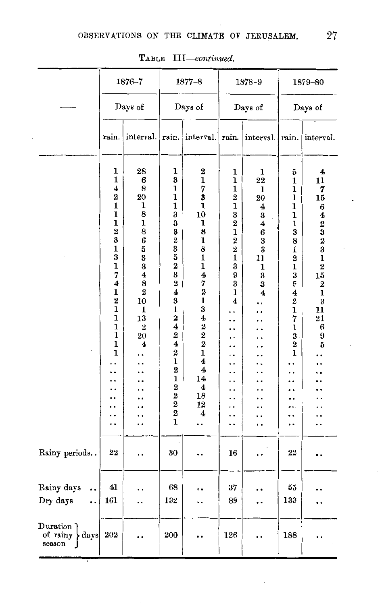|                                                                           |                                                                                                                                                                                                                                                                                | 1876-7                                                                                                                                                                                                                               |                                                                                                                                                                                                                                                                                                                                                                                                 | $1877 - 8$                                                                                                                                                                                                                                                                                                                    |                                                                                                                                                                         | 1878-9                                                                                                                              |                                                                                                                                                                                                                       | 1879-80                                                                                                                                                                                                    |
|---------------------------------------------------------------------------|--------------------------------------------------------------------------------------------------------------------------------------------------------------------------------------------------------------------------------------------------------------------------------|--------------------------------------------------------------------------------------------------------------------------------------------------------------------------------------------------------------------------------------|-------------------------------------------------------------------------------------------------------------------------------------------------------------------------------------------------------------------------------------------------------------------------------------------------------------------------------------------------------------------------------------------------|-------------------------------------------------------------------------------------------------------------------------------------------------------------------------------------------------------------------------------------------------------------------------------------------------------------------------------|-------------------------------------------------------------------------------------------------------------------------------------------------------------------------|-------------------------------------------------------------------------------------------------------------------------------------|-----------------------------------------------------------------------------------------------------------------------------------------------------------------------------------------------------------------------|------------------------------------------------------------------------------------------------------------------------------------------------------------------------------------------------------------|
|                                                                           |                                                                                                                                                                                                                                                                                | Days of                                                                                                                                                                                                                              |                                                                                                                                                                                                                                                                                                                                                                                                 | Days of                                                                                                                                                                                                                                                                                                                       |                                                                                                                                                                         | Days of                                                                                                                             |                                                                                                                                                                                                                       | Days of                                                                                                                                                                                                    |
|                                                                           | rain.                                                                                                                                                                                                                                                                          | interval. rain.                                                                                                                                                                                                                      |                                                                                                                                                                                                                                                                                                                                                                                                 | interval.                                                                                                                                                                                                                                                                                                                     | rain.                                                                                                                                                                   | interval.                                                                                                                           | rain.                                                                                                                                                                                                                 | interval.                                                                                                                                                                                                  |
|                                                                           | 1<br>$\mathbf{1}$<br>4<br>2<br>$\mathbf 1$<br>$\mathbf 1$<br>1<br>$\overline{\mathbf{2}}$<br>$\bf{3}$<br>$\mathbf{1}$<br>$\bar{\mathbf{3}}$<br>$\mathbf{1}$<br>7<br>4<br>$\mathbf{1}$<br>$\overline{\mathbf{2}}$<br>$\mathbf 1$<br>$\mathbf{I}$<br>$\mathbf{1}$<br>1<br>ı<br>1 | 28<br>6<br>8<br>20<br>1<br>8<br>$\frac{1}{8}$ 6<br>$\begin{array}{c} 5 \\ 3 \end{array}$<br>$\overline{\mathbf{4}}$<br>8<br>$\bf{2}$<br>10<br>ı<br>13<br>2<br>20<br>4<br>. .<br>. .<br>$\cdot$<br>ı.<br>. .<br>. .<br>٠.<br>٠,<br>٠. | 1<br>3<br>1<br>$\mathbf{1}$<br>$\mathbf{1}$<br>3<br>3<br>3<br>$\begin{smallmatrix}2\3\5\2\3\end{smallmatrix}$<br>$\frac{2}{4}$<br>3<br>$\mathbf 1$<br>$\overline{2}$<br>$\overline{\mathbf{4}}$<br>$\bf{2}$<br>$\overline{\textbf{4}}$<br>$\overline{\mathbf{2}}$<br>$\mathbf{1}$<br>$\overline{\mathbf{2}}$<br>$\mathbf{1}$<br>$\frac{2}{2}$<br>$\overline{2}$<br>$\overline{\mathbf{2}}$<br>1 | $\bf{2}$<br>$\overline{\mathbf{1}}$<br>7<br>3<br>1<br>10<br>ı<br>8<br>$\mathbf{1}$<br>8<br>$\overline{\mathbf{1}}$<br>ı<br>4<br>7<br>$\frac{1}{2}$<br>$\mathbf{1}$<br>3<br>$\overline{\bf{4}}$<br>$\begin{array}{c} 2 \ 2 \ 2 \end{array}$<br>$\mathbf{1}$<br>$\overline{\mathbf{4}}$<br>4<br>14<br>4<br>18<br>12<br>4<br>. . | 1<br>1<br>1<br>$\frac{2}{1}$<br>$\bar{3\over 2}$<br>$\overline{\mathbf{1}}$<br>$\frac{2}{2}$<br>$\mathbf 1$<br>3<br>9<br>3<br>1<br>4<br>. .<br>. .<br>. .<br>. .<br>. . | 1<br>22<br>1<br>20<br>4<br>3<br>4<br>6<br>$\overline{\mathbf{3}}$<br>$\bf{3}$<br>11<br>1<br>3<br>3<br>$\overline{\mathbf{4}}$<br>٠. | 5<br>1<br>1<br>$\mathbf 1$<br>1<br>1<br>1<br>3<br>8<br>$\mathbf{1}$<br>2<br>$\mathbf{1}$<br>3<br>5<br>$\overline{\mathbf{4}}$<br>$\bf{2}$<br>$\bar{\mathbf{1}}$<br>7<br>1<br>3<br>$\bf{2}$<br>ı<br>٠<br>٠.<br><br>. . | 4<br>$\overline{11}$<br>7<br>15<br>6<br>4<br>$\boldsymbol{2}$<br>3<br>$\overline{2}$<br>3<br>$\mathbf{1}$<br>$\overline{\mathbf{2}}$<br>15<br>$\boldsymbol{2}$<br>ı<br>$\bf{3}$<br>11<br>21<br>6<br>9<br>5 |
| Rainy periods                                                             | 22                                                                                                                                                                                                                                                                             | . .                                                                                                                                                                                                                                  | 30                                                                                                                                                                                                                                                                                                                                                                                              |                                                                                                                                                                                                                                                                                                                               | 16                                                                                                                                                                      |                                                                                                                                     | 22                                                                                                                                                                                                                    |                                                                                                                                                                                                            |
| Rainy days<br><br>Dry days<br>                                            | 41<br>161                                                                                                                                                                                                                                                                      | . .<br>. .                                                                                                                                                                                                                           | 68<br>132                                                                                                                                                                                                                                                                                                                                                                                       |                                                                                                                                                                                                                                                                                                                               | 37<br>89                                                                                                                                                                |                                                                                                                                     | 55<br>133                                                                                                                                                                                                             |                                                                                                                                                                                                            |
| $\rm{Duration}$ $\bar{}$<br>of rainy<br>$\langle \text{days}  $<br>season | 202                                                                                                                                                                                                                                                                            | . .                                                                                                                                                                                                                                  | 200                                                                                                                                                                                                                                                                                                                                                                                             |                                                                                                                                                                                                                                                                                                                               | 126                                                                                                                                                                     | . .                                                                                                                                 | 188                                                                                                                                                                                                                   |                                                                                                                                                                                                            |

TABLE III-continued.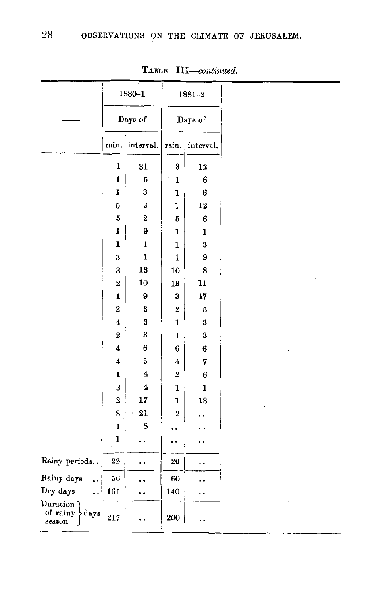|                                        |                         | 1880-1                  |                         | 1881-2      |
|----------------------------------------|-------------------------|-------------------------|-------------------------|-------------|
|                                        |                         | Days of                 |                         | Days of     |
|                                        | rain.                   | interval.               | rain.                   | interval.   |
|                                        | ı                       | 31                      | 3                       | 12          |
|                                        | $\mathbf 1$             | 5                       | $\mathbf{1}$            | 6           |
|                                        | l                       | 3                       | $\mathbf{1}$            | 6           |
|                                        | 5                       | 3                       | $\mathbf{1}$            | 12          |
|                                        | 5                       | $\bf{2}$                | 5                       | 6           |
|                                        | ı                       | 9                       | 1                       | 1           |
|                                        | ı                       | 1                       | 1                       | 3           |
|                                        | 3                       | $\mathbf{1}$            | ı                       | 9           |
|                                        | 3                       | 13                      | 10                      | 8           |
|                                        | $\overline{\mathbf{2}}$ | 10                      | 13                      | 11          |
|                                        | $\mathbf{1}$            | 9                       | 3                       | 17          |
|                                        | $\overline{2}$          | 3                       | $\overline{2}$          | 5           |
|                                        | 4                       | 3                       | 1                       | 3           |
|                                        | $\overline{2}$          | 3                       | $\mathbf{1}$            | 3           |
|                                        | $\overline{\mathbf{4}}$ | 6                       | 6                       | 6           |
|                                        | $\overline{\mathbf{4}}$ | 5                       | 4                       | 7           |
|                                        | $\mathbf{1}$            | $\overline{\mathbf{4}}$ | $\overline{\mathbf{2}}$ | 6           |
|                                        | 3                       | 4                       | $\mathbf{1}$            | $\mathbf 1$ |
|                                        | $\overline{2}$          | 17                      | 1                       | 18          |
|                                        | 8                       | $^{21}$                 | $\overline{2}$          |             |
|                                        | $\mathbf{1}$            | 8                       |                         |             |
|                                        | 1                       |                         |                         |             |
| Rainy periods                          | 22                      |                         | 20                      |             |
| Rainy days                             | 56                      |                         | 60                      |             |
| Dry days                               | 161                     |                         | 140                     |             |
| Duration<br>of rainy<br>days<br>season | 217                     |                         | 200                     |             |

TABLE *III-continued.*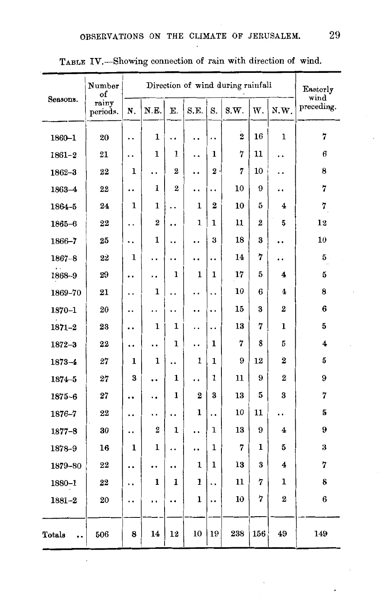|            | Number<br>of      |              |                |                      |              |                      | Direction of wind during rainfall |     |                         | Ensterly<br>wind |
|------------|-------------------|--------------|----------------|----------------------|--------------|----------------------|-----------------------------------|-----|-------------------------|------------------|
| Seasons.   | rainy<br>periods. | N.           | N.E.           | Ε.                   | S.E.         | S.                   | S.W.                              | W.  | N.W.                    | preceding.       |
| $1860 - 1$ | 20                | . .          | ı              | . .                  | . .          | . .                  | $\overline{\mathbf{2}}$           | 16  | 1                       | 7                |
| $1861 - 2$ | 21                | . .          | ı              | 1                    | . .          | 1                    | 7                                 | 11  | . .                     | 6                |
| $1862 - 3$ | 22                | 1            | . .            | $\overline{2}$       | $\cdot$      | 2                    | 7                                 | 10  | . .                     | 8                |
| 1863-4     | 22                |              | 1              | $\overline{2}$       | ٠.           | . .                  | 10                                | 9   |                         | 7                |
| 1864-5     | 24                | 1            | $\mathbf{1}$   | . .                  | $\mathbf{1}$ | $\overline{2}$       | 10                                | 5   | 4                       | 7                |
| $1865 - 6$ | 22                | . .          | 2              | . .                  | 1            | 1                    | 11                                | 2   | 5                       | 12               |
| 1866-7     | 25                |              | 1              | . .                  | . .          | 3                    | 18                                | 3   |                         | 10               |
| $1867 - 8$ | 22                | $\mathbf{1}$ | . .            | . .                  | ٠.           | $\ddot{\phantom{0}}$ | 14                                | 7   | . .                     | 5                |
| 1868-9     | 29                |              | . .            | 1                    | 1            | $\mathbf{1}$         | 17                                | 5   | 4                       | 5                |
| 1869-70    | 21                | . .          | ı              | . .                  | . .          | $\ddot{\phantom{0}}$ | 10                                | 6   | 4                       | 8                |
| $1870 - 1$ | 20                |              | . .            | . .                  |              |                      | 15                                | 3   | $\overline{2}$          | 6                |
| $1871 - 2$ | 23                |              | 1              | 1                    | . .          | $\cdot$              | 13                                | 7   | 1                       | 5                |
| $1872 - 3$ | 22                |              | . .            | $\mathbf{1}$         | . .          | 1                    | 7                                 | 8   | 5                       | 4                |
| $1873 - 4$ | 27                | ı            | ı              | . .                  | 1            | 1                    | 9                                 | 12  | $\overline{2}$          | 5                |
| $1874 - 5$ | 27                | 3            |                | $\mathbf{1}$         | . .          | $\mathbf{1}$         | 11                                | 9   | $\overline{2}$          | 9                |
| 1875-6     | 27                |              | ٠.             | 1                    | $\mathbf 2$  | 3                    | 13                                | 5   | 3                       | 7                |
| 1876-7     | 22                | . .          | . .            | $\ddot{\phantom{0}}$ | $\mathbf{1}$ | $\ddot{\phantom{0}}$ | 10                                | 11  | . .                     | 5                |
| $1877 - 8$ | 30                | . .          | $\overline{2}$ | $\mathbf{1}$         | . .          | 1                    | 13                                | 9   | 4                       | 9                |
| 1878-9     | 16                | 1            | 1              | . .                  |              | 1                    | 7                                 | 1   | 5                       | 3                |
| 1879-80    | 22                |              |                |                      | 1            | 1                    | 13                                | 3   | $\overline{\mathbf{4}}$ | 7                |
| 1880-1     | 22                | . .          | 1              | 1                    | 1            |                      | 11                                | 7   | 1                       | 8                |
| $1881 - 2$ | 20                | . .          | . .            |                      | 1            |                      | 10                                | 7   | $\overline{2}$          | 6                |
| Totals<br> | 506               | 8            | 14             | 12                   | 10           | 19                   | 238                               | 156 | 49                      | 149              |

# TABLE IV.-Showing connection of rain with direction of wind.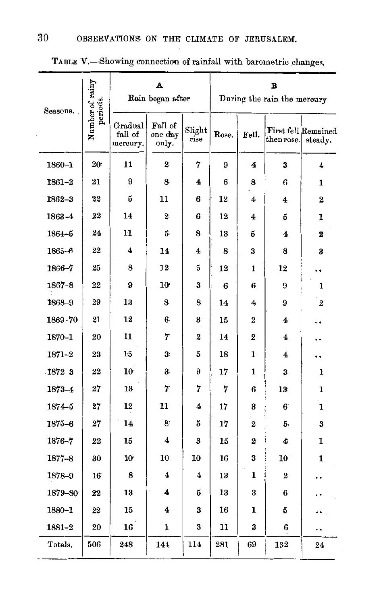| Seasons.   | Number of rainy<br>periods. |                                | A<br>Rain began after       |                |       |                         | в<br>During the rain the mercury |                                |
|------------|-----------------------------|--------------------------------|-----------------------------|----------------|-------|-------------------------|----------------------------------|--------------------------------|
|            |                             | Gradual<br>fall of<br>mercury. | Fall of<br>one day<br>only. | Slight<br>rise | Rose. | Fell.                   | ${\rm then} \, {\rm rose}.$      | First fell Remained<br>steady. |
| 1860-1     | 20 <sup>°</sup>             | 11                             | $\overline{\mathbf{2}}$     | 7              | 9     | 4                       | 3                                | $\overline{\bf{4}}$            |
| $1861 - 2$ | 21                          | 9                              | 8                           | 4              | 6     | 8                       | 6                                | 1                              |
| 1862-3     | 22                          | 5                              | 11                          | 6              | 12    | 4                       | 4                                | 2                              |
| 1863-4     | 22                          | 14                             | $\boldsymbol{2}$            | 6              | 12    | 4                       | 5                                | 1                              |
| 1864-5     | 24                          | 11                             | 5                           | 8              | 13    | 5                       | 4                                | 2                              |
| $1865 - 6$ | 22                          | 4                              | 14                          | 4              | 8     | 3                       | 8                                | 3                              |
| 1866-7     | 25                          | 8                              | 12                          | 5              | 12    | 1                       | 12                               |                                |
| 1867-8     | 22                          | 9                              | 10 <sup>°</sup>             | 3              | 6     | 6                       | 9                                | 1                              |
| 1868-9     | 29                          | 13                             | 8                           | 8              | 14    | 4                       | 9                                | $\overline{2}$                 |
| 1869.70    | 21                          | 12                             | 6                           | 3              | 15    | $\bf{2}$                | 4                                |                                |
| 1870-1     | 20                          | 11                             | 7                           | $\overline{2}$ | 14    | $\overline{2}$          | 4                                |                                |
| $1871 - 2$ | 23                          | 15                             | 3.                          | 5              | 18    | ŀ                       | 4                                |                                |
| 1872 3     | 22                          | 10                             | 3                           | 9              | 17    | 1                       | 3                                | ı                              |
| $1873 - 4$ | 27                          | 13                             | 7                           | 7              | 7     | 6                       | 13 <sup>°</sup>                  | 1                              |
| 1874-5     | 27                          | 12                             | 11                          | 4              | 17    | 3                       | 6                                | 1                              |
| $1875 - 6$ | 27                          | 14                             | $\overline{\mathbf{8}}$     | 5              | 17    | $\overline{2}$          | 5.                               | 3                              |
| 1876-7     | 22                          | 15                             | 4                           | 3              | 15    | $\overline{\mathbf{z}}$ | 4                                | 1                              |
| $1877 - 8$ | 30                          | 10                             | 10                          | 10             | 16    | 3                       | 10                               | 1                              |
| 1878-9     | 16                          | 8                              | $\boldsymbol{4}$            | 4              | 13    | 1                       | $\overline{2}$                   | . .                            |
| 1879-80    | 22                          | 13                             | 4                           | 5              | 13    | 3                       | 6                                | ٠.                             |
| 1880-1     | 22                          | 15                             | 4                           | 3              | 16    | 1                       | 5                                |                                |
| 1881-2     | 20                          | 16                             | 1                           | 3              | 11    | 3                       | 6                                |                                |
| Totals.    | 506                         | 248                            | 144                         | 114            | 281   | 69                      | 132                              | 24                             |

TABLE V.-Showing connection of rainfall with barometric changes.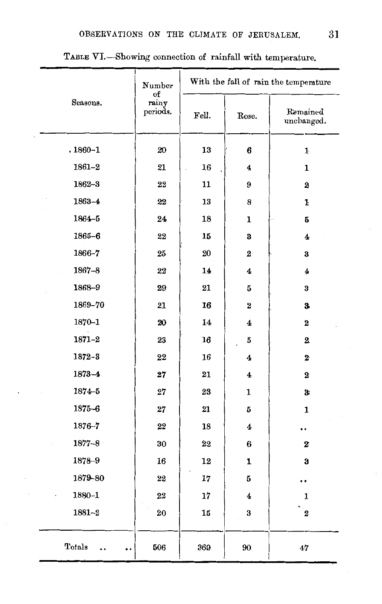|             | Number<br>оf      | With the fall of rain the temperature |                 |                        |  |  |  |  |
|-------------|-------------------|---------------------------------------|-----------------|------------------------|--|--|--|--|
| Seasons.    | rainy<br>periods. | Fell.                                 | Rose.           | Remained<br>unchanged. |  |  |  |  |
| $.1860 - 1$ | 20                | 13                                    | 6               | $\mathbf{1}$           |  |  |  |  |
| $1861 - 2$  | 21                | 16                                    | 4               | 1                      |  |  |  |  |
| $1862 - 3$  | 22                | 11                                    | 9               | $\bf{2}$               |  |  |  |  |
| 1863-4      | $22\,$            | 13                                    | 8               | ŀ                      |  |  |  |  |
| 1864-5      | 24                | 18                                    | 1               | 5                      |  |  |  |  |
| $1865 - 6$  | 22                | 15                                    | 3               | 4                      |  |  |  |  |
| 1866-7      | 25                | 20                                    | $\bf{2}$        | 3                      |  |  |  |  |
| $1867 - 8$  | 22                | 14                                    | 4               | 4                      |  |  |  |  |
| 1868-9      | 29                | 21                                    | 5               | 3                      |  |  |  |  |
| 1869-70     | 21                | 16                                    | $\bf{2}$        | 3.                     |  |  |  |  |
| 1870-1      | 20                | 14                                    | 4               | 2                      |  |  |  |  |
| 1871-2      | 23                | 16                                    | 5               | $\mathbf{z}$           |  |  |  |  |
| $1872 - 3$  | 22                | 16                                    | 4               | $\mathbf{z}$           |  |  |  |  |
| 1873-4      | 27                | 21                                    | 4               | $\bf{2}$               |  |  |  |  |
| $1874 - 5$  | $27\,$            | 23                                    | 1               | 3:                     |  |  |  |  |
| $1875 - 6$  | $\bf{27}$         | 21                                    | 5               | $\mathbf{1}$           |  |  |  |  |
| 1876-7      | 22                | 18                                    | 4               | $\cdot$                |  |  |  |  |
| $1877 - 8$  | 30                | 22                                    | 6               | $\bf{z}$               |  |  |  |  |
| 1878-9      | 16                | 12                                    | 1               | 3                      |  |  |  |  |
| 1879-80     | 22                | 17                                    | 5               |                        |  |  |  |  |
| $1880 - 1$  | 22                | 17                                    | 4               | 1                      |  |  |  |  |
| $1881 - 2$  | 20                | 15                                    | 3               | $\bf{2}$               |  |  |  |  |
| Totals      | 506               | 369                                   | 90 <sub>1</sub> | 47                     |  |  |  |  |

TABLE VI.-Showing connection of rainfall with temperature.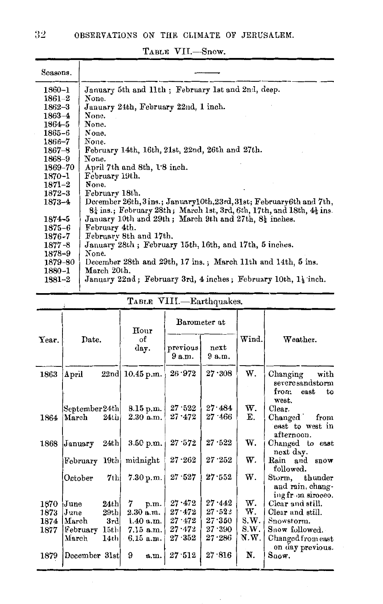| Seasons.         |                                                                                              |
|------------------|----------------------------------------------------------------------------------------------|
| $1860 - 1$       | January 5th and 11th; February 1st and 2nd, deep.                                            |
| 1861–2           | None.                                                                                        |
| 1862–3           | January 24th, February 22nd, 1 inch.                                                         |
| $1863-4$         | None.                                                                                        |
| 1864–5           | None.                                                                                        |
| 1865–6           | None.                                                                                        |
| 1866–7           | None.                                                                                        |
| 1867–8           | February 14th, 16th, 21st, 22nd, 26th and 27th.                                              |
| 1868–9           | None.                                                                                        |
| 1869–70          | April 7th and 8th, 1.8 inch.                                                                 |
| 1870-1           | February 19th.                                                                               |
| $1871-2$         | None.                                                                                        |
| 1872-3           | February 18th.                                                                               |
| $1873 - 4$       | December 26th, 3ins.; January10th, 23rd, 31st; February6th and 7th,                          |
|                  | $8\frac{1}{4}$ ins.; February 28th; March 1st, 3rd, 6th, 17th, and 18th, $4\frac{1}{4}$ ins. |
| 1874–5           | January 10th and 29th; March 9th and 27th, 8} inches.                                        |
| $1875\hbox{--}6$ | February 4th.                                                                                |
| 1876-7           | February 8th and 17th.                                                                       |
| $1877 - 8$       | January 28th; February 15th, 16th, and 17th, 5 inches.                                       |
| 1878–9           | None.                                                                                        |
| 1879-80          | December 28th and 29th, 17 ins.; March 11th and 14th, 5 ins.                                 |
| 1880-1           | March 20th.                                                                                  |
| $1881 - 2$       | January 22nd; February 3rd, 4 inches; February 10th, 1 <sup>1</sup> / <sub>2</sub> inch.     |

TABLE VII.-Snow.

|       | Date.          |         | Hour              |                    | Barometer at   |       |                                                                    |  |
|-------|----------------|---------|-------------------|--------------------|----------------|-------|--------------------------------------------------------------------|--|
| Year. |                |         | оf<br>day.        | previous<br>9 a.m. | next<br>9 a.m. | Wind. | Weather.                                                           |  |
| 1863  | April          |         | $22nd$ 10.45 p.m. | $26 \cdot 972$     | 27.308         | W.    | with<br>Changing<br>severesandstorm<br>from<br>east<br>to<br>west. |  |
|       | September 24th |         | $8.15$ p.m.       | 27.522             | 27.484         | w.    | Clear.                                                             |  |
| 1864  | March          | $24$ th | 2.30 a.m.         | $27 - 472$         | 27.466         | Е.    | Changed<br>from<br>east to west in<br>afternoon.                   |  |
| 1868  | January        | 24th    | 3.50 p.m.         | 27.572             | 27.522         | w.    | Changed to east<br>next day.                                       |  |
|       | February 19th  |         | midnight          | $27 - 262$         | 27.252         | w.    | Rain and<br>snow<br>followed.                                      |  |
|       | October        | 7th     | 7.30 p.m.         | 27.527             | 27.552         | w.    | Storm, thunder<br>and rain, chang-<br>ing from siroceo.            |  |
| 1870  | June           | 24th    | 7<br>p.m.         | $27 \cdot 472$     | 27.442         | w.    | Clear and still.                                                   |  |
| 1873  | June           | 29th    | $2.30$ a.m.       | $27\cdot 472$      | $27 - 522$     | w.    | Clear and still.                                                   |  |
| 1874  | March          | 3rd     | 1.40 a.m.         | $27 \cdot 472$     | 27.350         | S.W.  | Snowstorm.                                                         |  |
| 1877  | February       | 15th    | $7.15$ a.m.       | $27 - 472$         | 27.390         | 8.W.  | Snow followed.                                                     |  |
|       | March          | 14th    | $6.15$ a.m.       | $27 \cdot 352$     | $27 - 286$     | N.W.  | Changed from east<br>on day previous.                              |  |
| 1879  | December 31st  |         | 9<br>a.m.         | 27.512             | 27.816         | N.    | $S_{\text{now}}$                                                   |  |

TABLE VIII.-Earthquakes.

 $32<sub>1</sub>$ 

 $\ddot{\tau}$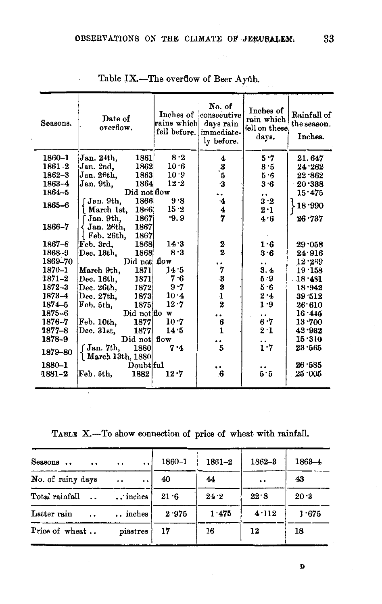| Seasons.   | Date of<br>overflow.                                          | Inches of<br>rains which!<br>fell before. | No. of<br>consecutive<br>days rain<br>immediate-<br>ly before. | Inches of<br>rain which<br>fell on these<br>days. | Rainfall of<br>the season,<br>Inches. |
|------------|---------------------------------------------------------------|-------------------------------------------|----------------------------------------------------------------|---------------------------------------------------|---------------------------------------|
| 1860-1     | Jan. 24th,<br>1861                                            | 8.2                                       | 4                                                              | 5.7                                               | 21.647                                |
| $1861 - 2$ | 1862<br>Jan. 2nd.                                             | 10.6                                      |                                                                | 3.5                                               | 24.262                                |
| $1862 - 3$ | 1863<br>Jan. 26th,                                            | 10.9                                      | $\frac{3}{5}$                                                  | 5.6                                               | 22.862                                |
| 1863-4     | 1864<br>Jan. 9th,                                             | $12-2$                                    |                                                                | 3.6                                               | 20.388                                |
| $1864 - 5$ | Did not flow                                                  |                                           | ٠.                                                             | $\ddot{\phantom{0}}$                              | 15.475                                |
| 1865-6     | 1866<br>Jan. 9th.<br>18r6<br>March 1st.                       | 9.8<br>15.2                               | 4                                                              | 3.2<br>2.1                                        | 18.990                                |
| 1866–7     | 1867<br>Jan. 9th.<br>1867<br>Jan. 26th,<br>1867<br>Feb. 26th. | $-9.9$                                    | $\frac{4}{7}$                                                  | 4.6                                               | 26.737                                |
| $1867 - 8$ | Feb. 3rd.<br>1868                                             | 14.3                                      |                                                                | 1.6                                               | 29.058                                |
| 1868-9     | 1868<br>Dec. 13th.                                            | 8.3                                       | $\mathbf{2} \ \mathbf{2}$                                      | 3.6                                               | 24.916                                |
| 1869-70    | $\mathbf{Did}$ not                                            | flow                                      |                                                                |                                                   | $12 - 269$                            |
| 1870-1     | 1871<br>March 9th,                                            | 14.5                                      | 7                                                              | 3.4                                               | $19 - 158$                            |
| $1871 - 2$ | 1871<br>Dec. 16th,                                            | 7.6                                       |                                                                | 5.9                                               | $18 \cdot 481$                        |
| 1872-3     | 1872<br>Dec. 26th.                                            | 9.7                                       | $\begin{array}{c} 3 \\ 3 \\ 1 \\ 2 \end{array}$                | 5.6                                               | 18.942                                |
| 1873-4     | Dec. 27th,<br>1873                                            | 10.4                                      |                                                                | 2·4                                               | 39.512                                |
| $1874 - 5$ | 1875<br>Feb. 5th,                                             | $12 - 7$                                  |                                                                | 1.9                                               | 26.610                                |
| $1875 - 6$ | Did not flow                                                  |                                           | ٠.                                                             | . .                                               | 16.445                                |
| 1876-7     | 1877<br>Feb. 10th,                                            | $10 - 7$                                  | $\frac{6}{1}$                                                  | 6.7                                               | 13.700                                |
| 1877–8     | 1877<br>Dec. 31st.                                            | 14.5                                      |                                                                | 2.1                                               | 42.932                                |
| 1878–9     | Did not                                                       | flow                                      | . .                                                            |                                                   | 15.310                                |
| 1879-80    | 1880<br>f Jan. 7th,<br>$\lambda$ March 13th, 1880             | 7.4                                       | Б                                                              | $\ddot{i}$ .                                      | 23.565                                |
| 1880-1     | Doubt ful                                                     |                                           |                                                                |                                                   | 26 585                                |
| 1881-2     | 1882<br>Feb. 5th.                                             | 12.7                                      | $6 \,$                                                         | $\ddot{5} \cdot 5$                                | 25 005                                |

Table IX.-The overflow of Beer Ayûb.

TABLE X.-To show connection of price of wheat with rainfall.

| Seasons                  | $\ddotsc$        | 1860-1 | 1861-2 | 1862-3               | 1863-4 |
|--------------------------|------------------|--------|--------|----------------------|--------|
| No. of rainy days        | $\cdot$ .<br>. . | 40     | 44     | $\ddot{\phantom{1}}$ | 43     |
| Total rainfall           | inches           | 21.6   | 24.2   | 22.8                 | 20.3   |
| Latter rain<br>$\cdot$ . | inches           | 2.975  | 1.475  | 4.112                | 1.675  |
| Price of wheat           | piastres         | 17     | 16     | 12                   | 18     |

D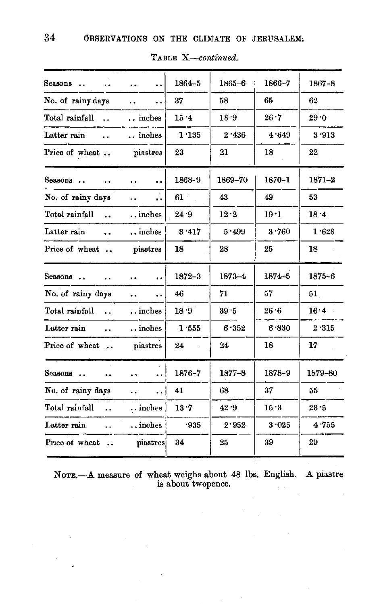| Seasons<br>$\ddot{\phantom{a}}$     | $\ddot{\phantom{0}}$<br>$\ddot{\phantom{0}}$ | 1864-5     | 1865-6     | 1866-7     | 1867-8       |
|-------------------------------------|----------------------------------------------|------------|------------|------------|--------------|
| No. of rainy days                   | $\ddot{\phantom{a}}$<br>                     | 37         | 58         | 65.        | 62           |
| Total rainfall                      | inches                                       | 15.4       | 18.9       | 26.7       | 29.0         |
| Latter rain<br>$\ddot{\phantom{a}}$ | inches                                       | 1.135      | 2.436      | 4.649      | 3.913        |
| Price of wheat                      | piastres                                     | 23         | 21         | 18         | 22           |
| Seasons                             | $\ddot{\phantom{0}}$<br>$\ddot{\phantom{a}}$ | 1868-9     | 1869-70    | $1870 - 1$ | $1871 - 2$   |
| No. of rainy days                   | <br>$\ddot{\phantom{0}}$                     | $61 -$     | 43         | 49         | 53.          |
| Total rainfall<br>$\sim$            | $\dots$ inches                               | 24.9       | 12.2       | 19.1       | 18.4         |
| Latter rain<br>$\ddot{\phantom{a}}$ | inches                                       | 3.417      | 5.499      | 3.760      | 1.628        |
| Price of wheat                      | piastres                                     | 18         | 28         | 25         | 18           |
| Seasons                             | $\ddot{\phantom{0}}$<br>$\ddot{\phantom{a}}$ | $1872 - 3$ | $1873 - 4$ | $1874 - 5$ | $1875 - 6$   |
| No. of rainy days                   | $\ddot{\phantom{0}}$<br>$\ddot{\phantom{a}}$ | 46         | 71         | 57         | 51           |
| Total rainfall                      | $\dots$ inches                               | 18.9       | 39.5       | $26-6$     | $16 \cdot 4$ |
| Latter rain<br>$\ddot{\phantom{a}}$ | $\ldots$ inches                              | 1.555      | 6.352      | 6.830      | 2.315        |
| Price of wheat                      | piastres                                     | 24         | 24         | 18         | 17           |
| Seasons<br>$\ddot{\phantom{0}}$     | $\ddot{\phantom{1}}$<br>$\ddot{\phantom{a}}$ | 1876-7     | $1877 - 8$ | 1878-9     | 1679-80      |
| No. of rainy days                   | $\ddot{\phantom{a}}$<br>$\ddot{\phantom{a}}$ | 41         | 68         | 37         | 55           |
| Total rainfall<br>$\ddotsc$         | $\ldots$ inches                              | 13.7       | 42.9       | 15.3       | 23.5         |
| Latter rain<br>$\ddot{\phantom{a}}$ | $\dots$ inches                               | .935       | 2.952      | 3.025      | 4.755        |
| Price of wheat                      | piastres                                     | 34         | 25         | 39         | 29           |
|                                     |                                              |            |            |            |              |

TABLE X-continued.

NOTE .- A measure of wheat weighs about 48 lbs. English. A piastre is about two<br>pence.

 $\ddot{\phantom{a}}$ 

34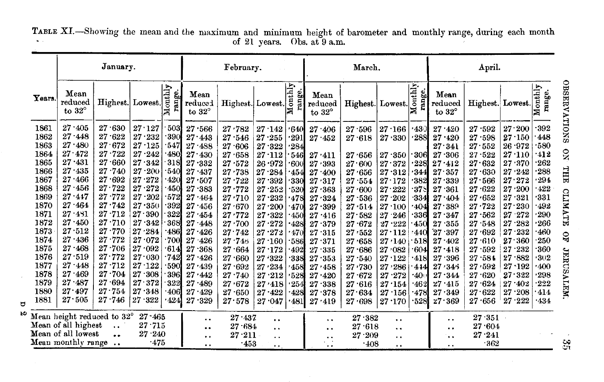TABLE XI.—Showing the mean and the maximum and minimum height of barometer and monthly range, during each month of 21 years. Obs. at 9 a.m.

|                                                                                                                                                      | January.                                                                                                                                                                                                                                           |                                                                                                                                                                                                                |                                                                                                                                                                                                                    |                                                                                                                                   | February.                                                                                                                                                                                          |                                                                                                                                                                                                    |                                                                                                                                                                                                | March.                                                                                                                                              |                                                                                                                                                                                  |                                                                                                                                                                                              | April.                                                                                                                                                                                   |                                                                                                                                                                 |                                                                                                                                                                                                                      |                                                                                                                                                                                                      |                                                                                                                                                                                                                    |                                                                                                                                   |
|------------------------------------------------------------------------------------------------------------------------------------------------------|----------------------------------------------------------------------------------------------------------------------------------------------------------------------------------------------------------------------------------------------------|----------------------------------------------------------------------------------------------------------------------------------------------------------------------------------------------------------------|--------------------------------------------------------------------------------------------------------------------------------------------------------------------------------------------------------------------|-----------------------------------------------------------------------------------------------------------------------------------|----------------------------------------------------------------------------------------------------------------------------------------------------------------------------------------------------|----------------------------------------------------------------------------------------------------------------------------------------------------------------------------------------------------|------------------------------------------------------------------------------------------------------------------------------------------------------------------------------------------------|-----------------------------------------------------------------------------------------------------------------------------------------------------|----------------------------------------------------------------------------------------------------------------------------------------------------------------------------------|----------------------------------------------------------------------------------------------------------------------------------------------------------------------------------------------|------------------------------------------------------------------------------------------------------------------------------------------------------------------------------------------|-----------------------------------------------------------------------------------------------------------------------------------------------------------------|----------------------------------------------------------------------------------------------------------------------------------------------------------------------------------------------------------------------|------------------------------------------------------------------------------------------------------------------------------------------------------------------------------------------------------|--------------------------------------------------------------------------------------------------------------------------------------------------------------------------------------------------------------------|-----------------------------------------------------------------------------------------------------------------------------------|
| Years.                                                                                                                                               | Mean<br>reduced<br>to $32^{\circ}$                                                                                                                                                                                                                 | Highest. Lowest.                                                                                                                                                                                               |                                                                                                                                                                                                                    | $\overline{\text{output}}$<br>range.                                                                                              | Mean<br>reduced<br>to $32^\circ$                                                                                                                                                                   | Highest. Lowest.                                                                                                                                                                                   |                                                                                                                                                                                                | range.                                                                                                                                              | Mean<br>reduced<br>to $32^\circ$                                                                                                                                                 | Highest. Lowest.                                                                                                                                                                             |                                                                                                                                                                                          | range.                                                                                                                                                          | Mean<br>reduced<br>to $32^{\circ}$                                                                                                                                                                                   | Highest. Lowest.                                                                                                                                                                                     |                                                                                                                                                                                                                    | $\overline{\text{output}}$<br>range.                                                                                              |
| 1861<br>1862<br>1863<br>1864<br>1865<br>1866<br>1867<br>1868<br>1869<br>1870<br>1871<br>1872<br>1873<br>1874<br>1875<br>1876<br>1877<br>1878<br>1879 | 27.405<br>27.448<br>27.480<br>$27 \!\cdot\! 472$<br>27.431<br>$27 - 435$<br>27.466<br>27.456<br>$27 - 447$<br>$27 - 464$<br>$27 - 431$<br>$27 \cdot 450$<br>27.512<br>$27 - 436$<br>27.468<br>27.519<br>$27 - 448$<br>27.469<br>$27 \!\cdot\! 487$ | 27.630<br>27.622<br>27.672<br>27.722<br>27.660<br>27.740<br>27.692<br>27.722<br>$27 - 772$<br>27.742<br>27.712<br>27.710<br>27.770<br>$27 - 772$<br>27.706<br>$27 \cdot 772$<br>$27 - 712$<br>27.704<br>27.694 | 27.127<br>$27 - 232$<br>$27 - 125$<br>27.242<br>27.342<br>$27 - 200$<br>27.272<br>27.272<br>$27 - 202$<br>27.350<br>27.390<br>27.342<br>27.284<br>27.072<br>27.092<br>27.030<br>27.122<br>27.308<br>$27 \cdot 372$ | 503<br>390<br>547<br>480<br>318<br>540<br>420<br>450<br>572<br>392<br>322<br>368<br>486<br>700<br>614<br>742<br>590<br>396<br>322 | 27.566<br>27.443<br>27.488<br>27.430<br>27.332<br>27.437<br>27.507<br>27.383<br>27.464<br>27.456<br>27.454<br>27.448<br>27.426<br>$27 \cdot 426$<br>27.368<br>27.426<br>27.439<br>27.442<br>27.489 | 27.782<br>27.546<br>27.606<br>27.658<br>27.572<br>27.738<br>27.722<br>27.772<br>27.710<br>27.670<br>27.772<br>27.700<br>27.742<br>27.746<br>27.664<br>27 660<br>$27 - 692$<br>$27 - 740$<br>27.672 | 27.142<br>27.255<br>27.322<br>27.112<br>26.972<br>27.284<br>27<br>-392<br>27.252<br>27.232<br>27.200<br>27.322<br>27.272<br>27.272<br>27.160<br>27.172<br>27.322<br>27.234<br>27.212<br>27.418 | 1640<br>291<br>284<br>546<br>-600<br>1454'<br>330<br>-520<br>1478<br>·470<br>.450<br>·428<br>470'<br>-586<br>·492<br>-338.<br>.458<br>.528<br>' 254 | 27 406<br>27.452<br>27.411<br>27/393<br>27 400<br>27.317<br>27.363<br>27.324<br>27.399<br>27.416<br>27.379<br>27.315<br>27.371<br>27.335<br>27.353<br>27.458<br>27.420<br>27.338 | 27.596<br>27.618<br>27.656<br>27.600<br>27.656<br>27.554<br>27.600<br>$27 - 536$<br>$27 \cdot 514$<br>27.582<br>27.672<br>27.552<br>27.658<br>27.686<br>27.540<br>27.730<br>27.672<br>27.616 | 27.166<br>27.330<br>27.350<br>27.372<br>27.312<br>27.172<br>27.222<br>27.202<br>27.100<br>27.246<br>27.222<br>$27 \cdot 112$<br>27/140<br>27.082<br>27.122<br>27.286<br>27.272<br>27.154 | $-430$<br>.288<br>$\cdot$ 306<br>1228<br>.344<br>382'<br>375<br>334<br>404'<br>-336<br>-450<br>:440<br>$\cdot$ 518<br>604<br>'418<br>4.14<br>$\cdot 40$<br>-462 | 27.420<br>27<br>.420<br>27.341<br>27.306<br>27.412<br>27.357<br>27.339<br>27.361<br>27<br>.404<br>27.389<br>27.347<br>$-355$<br>27<br>$27 \cdot 397$<br>27.402<br>$27 - 418$<br>27.396<br>27.345<br>27.344<br>27.415 | 27.592<br>27<br>.598<br>27.552<br>27.522<br>27.632<br>27.630<br>27.566<br>27.622<br>27.652<br>27.722<br>27.562<br>27.548<br>27.692<br>27.610<br>27<br>$-592$<br>27.584<br>27.592<br>27.620<br>27.624 | 27.200<br>27.150<br>$26 \cdot 972$<br>27.110<br>27.370<br>27.242<br>27.272<br>27.200<br>27/321<br>27.230<br>$27 \cdot 272$<br>27.282<br>27.232<br>27.360<br>27.232<br>27.882<br>$27 - 192$<br>27.322<br>$27 - 402$ | 392<br>448<br>580<br>412<br>262<br>288<br>294<br>422<br>331<br>492<br>290<br>266<br>460<br>250<br>360<br>302<br>400<br>298<br>222 |
| 1880<br>1881                                                                                                                                         | $27\!\cdot\!497$<br>27.505                                                                                                                                                                                                                         | $27 \cdot 754$<br>$27 \cdot 746$                                                                                                                                                                               | 27.348<br>27.322                                                                                                                                                                                                   | ·406<br>-424                                                                                                                      | 27.429<br>27.329                                                                                                                                                                                   | 27.650<br>27.578                                                                                                                                                                                   | 27.422<br>27.047                                                                                                                                                                               | $\cdot$ 428.<br>$\cdot$ 481 $\mid$                                                                                                                  | 27.378<br>27.419                                                                                                                                                                 | 27.634<br>27.698                                                                                                                                                                             | 27.156<br>27.170                                                                                                                                                                         | 478<br>.528                                                                                                                                                     | 27.349<br>27.369                                                                                                                                                                                                     | 27.622<br>27.656                                                                                                                                                                                     | 27.208<br>27.222                                                                                                                                                                                                   | 414<br>$-434$                                                                                                                     |
|                                                                                                                                                      | Mean height reduced to 32°<br>Mean of all highest<br>Mean of all lowest<br>Mean monthly range                                                                                                                                                      | $\ddot{\phantom{0}}$<br>                                                                                                                                                                                       | $27 - 465$<br>27.715<br>27.240<br>.475                                                                                                                                                                             |                                                                                                                                   | . .<br>$\ddot{\phantom{a}}$<br>$\ddot{\phantom{1}}$<br>. .                                                                                                                                         | 27.437<br>$27 \!\cdot\! 684$<br>$27.211$ .<br>$-453$                                                                                                                                               | $\ddot{\phantom{0}}$<br>$\ddot{\phantom{a}}$<br>. .<br>$\ddot{\phantom{1}}$                                                                                                                    |                                                                                                                                                     | $\ddot{\phantom{0}}$<br>$\ddot{\phantom{1}}$                                                                                                                                     | 27.382<br>27.618<br>27.209<br>$-408$                                                                                                                                                         | $\ddot{\phantom{0}}$<br>$\ddot{\phantom{0}}$<br>. .<br>$\ddot{\phantom{a}}$                                                                                                              |                                                                                                                                                                 | $\ddot{\phantom{0}}$<br>$\ddot{\phantom{1}}$<br>$\ddot{\phantom{0}}$                                                                                                                                                 | 27.351<br>27.604<br>27.241<br>-362                                                                                                                                                                   |                                                                                                                                                                                                                    |                                                                                                                                   |

 $\mathbf \sigma$  $\mathbf{K}$ 

 $\overline{\phantom{a}}$ 

 $\mathfrak{L}$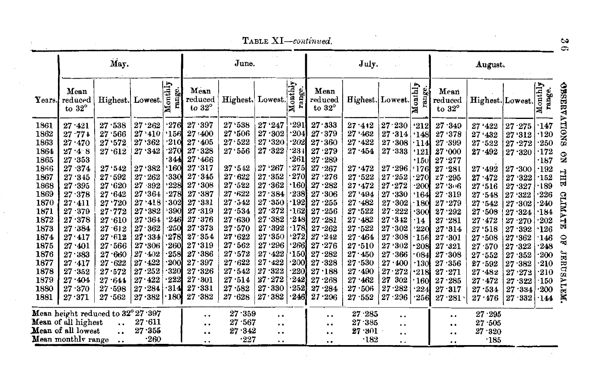$\Delta \sim 10^{11}$  and  $\Delta \sim 10^{11}$ 

|                                                                                                                                                                      |                                                                                                                                                                                                                                                                    | May.                                                                                                                                                                                                             |                                                                                                                                                                                                                      |                                                                                                                                                                                                         |                                                                                                                                                                                                                                         | June.                                                                                                                                                                                                        |                                                                                                                                                                                                                          |                                                                                                                                                                                                                       |                                                                                                                                                                                                                        | July.                                                                                                                                                                                                |                                                                                                                                                                                                                            |                                                                                                                                                                                                                                                |                                                                                                                                                                                                                     | August.                                                                                                                                                                                                                                              |                                                                                                                                                                                                                          |                                                                                                                                                                                                                                                              |
|----------------------------------------------------------------------------------------------------------------------------------------------------------------------|--------------------------------------------------------------------------------------------------------------------------------------------------------------------------------------------------------------------------------------------------------------------|------------------------------------------------------------------------------------------------------------------------------------------------------------------------------------------------------------------|----------------------------------------------------------------------------------------------------------------------------------------------------------------------------------------------------------------------|---------------------------------------------------------------------------------------------------------------------------------------------------------------------------------------------------------|-----------------------------------------------------------------------------------------------------------------------------------------------------------------------------------------------------------------------------------------|--------------------------------------------------------------------------------------------------------------------------------------------------------------------------------------------------------------|--------------------------------------------------------------------------------------------------------------------------------------------------------------------------------------------------------------------------|-----------------------------------------------------------------------------------------------------------------------------------------------------------------------------------------------------------------------|------------------------------------------------------------------------------------------------------------------------------------------------------------------------------------------------------------------------|------------------------------------------------------------------------------------------------------------------------------------------------------------------------------------------------------|----------------------------------------------------------------------------------------------------------------------------------------------------------------------------------------------------------------------------|------------------------------------------------------------------------------------------------------------------------------------------------------------------------------------------------------------------------------------------------|---------------------------------------------------------------------------------------------------------------------------------------------------------------------------------------------------------------------|------------------------------------------------------------------------------------------------------------------------------------------------------------------------------------------------------------------------------------------------------|--------------------------------------------------------------------------------------------------------------------------------------------------------------------------------------------------------------------------|--------------------------------------------------------------------------------------------------------------------------------------------------------------------------------------------------------------------------------------------------------------|
| Years.                                                                                                                                                               | Mean<br>reduced<br>to $32^{\circ}$                                                                                                                                                                                                                                 | Highest. Lowest.                                                                                                                                                                                                 |                                                                                                                                                                                                                      | onthly<br>range.                                                                                                                                                                                        | Mean<br>reduced<br>to $32^\circ$                                                                                                                                                                                                        | Highest. Lowest.                                                                                                                                                                                             |                                                                                                                                                                                                                          | Monthly<br>ange                                                                                                                                                                                                       | Mean<br>reduced<br>to $32^\circ$                                                                                                                                                                                       | Highest. Lowest.                                                                                                                                                                                     |                                                                                                                                                                                                                            | $\overline{\text{path1}}$<br>ange.<br>ż                                                                                                                                                                                                        | Mean<br>reduced<br>to $32^{\circ}$                                                                                                                                                                                  | Highest. Lowest.                                                                                                                                                                                                                                     |                                                                                                                                                                                                                          | onthly<br>range.<br>×                                                                                                                                                                                                                                        |
| 1861<br>1862<br>1863<br>1864<br>1865<br>1866<br>1867<br>1868<br>1869<br>1870<br>1871<br>1872<br>1873<br>1874<br>1875<br>1876<br>1877<br>1878<br>1879<br>1880<br>1881 | $27 - 421$<br>$27 - 771$<br>27.470<br>27.48<br>27.353<br>$27 \,\, 374$<br>27.345<br>27.395<br>$27 - 378$<br>$27 - 411$<br>27.379<br>27.378<br>27.384<br>$27\!\cdot\!417$<br>$27 \cdot 401$<br>27.383<br>$27 \cdot 417$<br>27.352<br>$27 - 404$<br>27.370<br>27.371 | 27.538<br>27.566<br>27.572<br>27.612<br>27.542<br>27.592<br>27.620<br>27.642<br>27.720<br>27.772<br>27.610<br>27.612<br>27.612<br>27.566<br>$27 - 660$<br>27.622<br>27.572<br>$27 - 644$<br>.598<br>27<br>27.562 | 27.262<br>27.410<br>27 362<br>27.342<br>27.382<br>$27 - 262$<br>27.392<br>27.364<br>27.418<br>27.382<br>27.364<br>27.362<br>27.334<br>27.306<br>$27 - 402$<br>$27 - 422$<br>27.252<br>27.422<br>$27 - 284$<br>27.382 | $\cdot 276$<br>.156<br>$\cdot 210$<br>270<br>-344<br>.160<br>330<br>228<br>$-278$<br>302<br>$-390$<br>246<br>$-250$<br>278<br>260<br>$\cdot$ 258<br>$\cdot$ 200<br>320<br>222<br>$-314$<br>$\cdot$ 180. | 27.397<br>27:400<br>27.405<br>$27 - 328$<br>27.466<br>27.317<br>27.345<br>27.308<br>27.387<br>27.331<br>27.319<br>27.376<br>27.373<br>27.354<br>27.319<br>$27 \, 386$<br>$27 \cdot 397$<br>27.326<br>$27 \cdot 301$<br>27.331<br>27.382 | 27.538<br>27.506<br>27.522<br>27.556<br>27.542<br>27.622<br>27.522<br>$27 - 622$<br>27.542<br>27.534<br>27.630<br>27.570<br>27.622<br>27.562<br>27.572<br>27.622<br>27.542<br>27.514<br>$27 - 582$<br>27.628 | 27.247<br>27.302<br>27 320<br>27.322<br>27.267<br>27.352<br>27.362<br>27.384<br>$27 - 350$<br>27.372<br>$27 - 382$<br>27.392<br>27.350<br>27.296<br>$27 - 422$<br>27.422<br>27.322<br>27.272<br>27.330<br>$27 \cdot 382$ | '291<br>204<br>202<br>234<br>$\cdot 261$<br>275<br>270<br>$\cdot$ 160.<br>238<br>$\cdot$ 1921<br>$\cdot$ 1621<br>$\cdot 248$<br>·178l<br>'272]<br>2661<br>·150}<br>$\cdot$ 200<br>2201<br>242<br>$\cdot 252$<br>·2461 | 27.333<br>27.379<br>27.360<br>27.279<br>27.289<br>27.267<br>27.276<br>27.282<br>27.306<br>27.255<br>27.256<br>27.281<br>27.262<br>27.242<br>27.276<br>$27 \cdot 282$<br>27.328<br>27.188<br>27.268<br>27.284<br>27.296 | 27.412<br>27.462<br>27.422<br>27.454<br>27.472<br>27.522<br>27.472<br>27.494<br>27.482<br>27.522<br>27.482<br>27.522<br>27.464<br>27.510<br>27.450<br>27.530<br>27.490<br>27.462<br>27.506<br>27.552 | 27.230<br>27.314<br>27.308<br>27.333<br>27.296<br>$27 - 252$<br>27.272<br>27.330<br>27.302<br>27.222<br>27.342<br>27.302<br>27.308<br>27.302<br>27.366<br>27.400<br>27.272<br>27<br>302<br>27<br>$\cdot 282$<br>$27 - 296$ | '212'<br>.148<br>$\cdot$ 114<br>'121<br>$\cdot$ 150<br>.176<br>270<br>$\cdot 200$<br>.164<br>$\cdot$ 180<br>$\cdot$ 300<br>$\cdot$ 14<br>$\cdot 220$<br>156<br>-208<br>$\cdot$ 084<br>$\cdot$ 130<br>.218<br>160<br>$\cdot 224$<br>$\cdot 256$ | $27 - 349$<br>27 '378<br>27.399<br>27.000<br>27.277<br>27.281<br>27.295<br>27.306<br>27.319<br>27.279<br>27.292<br>27.281<br>27.314<br>27.301<br>27.321<br>27.308<br>27.356<br>27.271<br>27.285<br>27.317<br>27.281 | 27.422<br>27.432<br>27.522<br>$27 \!\cdot\! 492$<br>$27 \!\cdot\! 492$<br>$27 \cdot 472$<br>27.516<br>$27 - 548$<br>27.542<br>27.508<br>27.472<br>27.518<br>27.508<br>27.570<br>27.552<br>27.592<br>27.482<br>$27 - 472$<br>27.534<br>$27 \cdot 476$ | $27 - 275$<br>27.312<br>27.272<br>27.320<br>27.300<br>27.322<br>27.327<br>27.322<br>27.302<br>27.324<br>$27 - 270$<br>27.392<br>27.362<br>27.322<br>27.352<br>27.382<br>$27 - 272$<br>27.322<br>27.334<br>$27 \cdot 332$ | 147•<br>$\cdot$ 120<br>$\cdot 250$<br>$\cdot$ 172<br>$\cdot 187$<br>$\cdot$ 192<br>$\cdot$ 152<br>.189<br>$-226$<br>Я<br>$\cdot 240$<br>.184<br>202<br>н<br><b>'126</b><br>·146<br>.248<br>$\cdot$ 200<br>$\cdot 210$<br>$-210$<br>$\cdot$ 150<br>200<br>144 |
|                                                                                                                                                                      | Mean height reduced to $32^{\circ}27.397$<br>Mean of all highest<br>Mean of all lowest<br>Mean monthly range                                                                                                                                                       | $\ddot{\phantom{0}}$<br>$\ddot{\phantom{0}}$                                                                                                                                                                     | 27.611<br>27.355<br>$-260$                                                                                                                                                                                           |                                                                                                                                                                                                         | <br><br><br>. .                                                                                                                                                                                                                         | 27.359<br>27.567<br>27.342<br>.227                                                                                                                                                                           | $\cdot$ .<br><br><br>. .                                                                                                                                                                                                 |                                                                                                                                                                                                                       | . .<br>$\ddot{\phantom{0}}$<br><br>                                                                                                                                                                                    | 27.285<br>27.385<br>27.301<br>$\cdot$ 182                                                                                                                                                            | . .<br>. .<br>. .<br>. .                                                                                                                                                                                                   |                                                                                                                                                                                                                                                | <br>$\ddot{\phantom{0}}$<br><br>                                                                                                                                                                                    | 27.295<br>27.505<br>27.320<br>.185                                                                                                                                                                                                                   |                                                                                                                                                                                                                          |                                                                                                                                                                                                                                                              |

 $\infty$ 

 $\sim 10^{11}$ 

and the control of the con-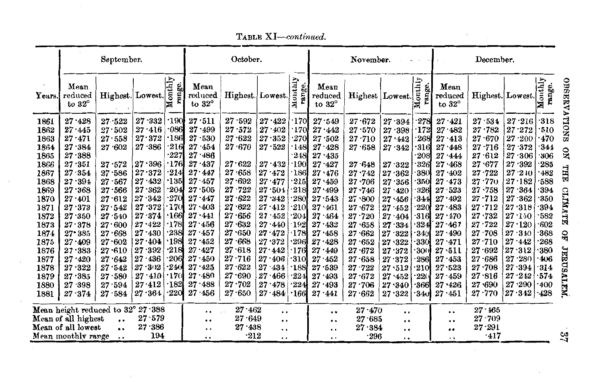|                                                                                                                                                                      |                                                                                                                                                                                                                                                    | September.                                                                                                                                                                                                                                                           |                                                                                                                                                                                                              |                                                                                                                                                                                                                     |                                                                                                                                                                                                                                                                                             | October.                                                                                                                                                                                                                                                 |                                                                                                                                                                                                                              |                                                                                                                                                                                                               |                                                                                                                                                                                                                                                | November.                                                                                                                                                                                                                              |                                                                                                                                                                                                      |                                                                                                                                                                                     |                                                                                                                                                                                                                                          | December.                                                                                                                                                                                                                                                 |                                                                                                                                                                                                                        |                                                                                                                                                                                     |
|----------------------------------------------------------------------------------------------------------------------------------------------------------------------|----------------------------------------------------------------------------------------------------------------------------------------------------------------------------------------------------------------------------------------------------|----------------------------------------------------------------------------------------------------------------------------------------------------------------------------------------------------------------------------------------------------------------------|--------------------------------------------------------------------------------------------------------------------------------------------------------------------------------------------------------------|---------------------------------------------------------------------------------------------------------------------------------------------------------------------------------------------------------------------|---------------------------------------------------------------------------------------------------------------------------------------------------------------------------------------------------------------------------------------------------------------------------------------------|----------------------------------------------------------------------------------------------------------------------------------------------------------------------------------------------------------------------------------------------------------|------------------------------------------------------------------------------------------------------------------------------------------------------------------------------------------------------------------------------|---------------------------------------------------------------------------------------------------------------------------------------------------------------------------------------------------------------|------------------------------------------------------------------------------------------------------------------------------------------------------------------------------------------------------------------------------------------------|----------------------------------------------------------------------------------------------------------------------------------------------------------------------------------------------------------------------------------------|------------------------------------------------------------------------------------------------------------------------------------------------------------------------------------------------------|-------------------------------------------------------------------------------------------------------------------------------------------------------------------------------------|------------------------------------------------------------------------------------------------------------------------------------------------------------------------------------------------------------------------------------------|-----------------------------------------------------------------------------------------------------------------------------------------------------------------------------------------------------------------------------------------------------------|------------------------------------------------------------------------------------------------------------------------------------------------------------------------------------------------------------------------|-------------------------------------------------------------------------------------------------------------------------------------------------------------------------------------|
| Years.                                                                                                                                                               | Mean<br>reduced<br>to $32^{\circ}$                                                                                                                                                                                                                 | Highest. Lowest.                                                                                                                                                                                                                                                     |                                                                                                                                                                                                              | onthly<br>ange.                                                                                                                                                                                                     | Mean<br>reduced<br>to $32^\circ$                                                                                                                                                                                                                                                            | Highest. Lowest.                                                                                                                                                                                                                                         |                                                                                                                                                                                                                              | Arquo<br>ange.<br>Ξ                                                                                                                                                                                           | Mean<br>reduced<br>to $32^{\circ}$                                                                                                                                                                                                             |                                                                                                                                                                                                                                        | Highest   Lowest.                                                                                                                                                                                    | Monthly<br>range.                                                                                                                                                                   | Mean<br>reduced<br>to $32^\circ$                                                                                                                                                                                                         |                                                                                                                                                                                                                                                           | Highest. Lowest.                                                                                                                                                                                                       | Monthly<br>ange.                                                                                                                                                                    |
| 1861<br>1862<br>1863<br>1864<br>1865<br>1866<br>1867<br>1868<br>1869<br>1870<br>1871<br>1872<br>1873<br>1874<br>1875<br>1876<br>1877<br>1878<br>1879<br>1880<br>1881 | 27.428<br>27.445<br>$27 - 471$<br>27.384<br>$27 - 388$<br>27.351<br>$27 - 354$<br>27.394<br>27.368<br>27.401<br>$27 - 373$<br>$27 - 350$<br>27.378<br>$27 - 385$<br>$27 - 409$<br>27.383<br>$27 - 420$<br>27.322<br>27.385<br>27.398<br>$27 - 374$ | 27.522<br>27.502<br>27.558<br>27.602<br>27.572<br>27.586<br>27.567<br>27.566<br>27.612<br>27.542<br>27.540<br>27.600<br>27.668<br>27.602<br>27.610<br>27.642<br>27.542<br>$27 - 580$<br>27.594<br>$27 - 584$<br>Mean height reduced to $32^{\circ}$ $27$ $\cdot 388$ | 27.332<br>27.416<br>27.372<br>$27 - 386$<br>27.396<br>27.372<br>27.432<br>27.362<br>27.342<br>27.372<br>27.374<br>27.422<br>27.430<br>27.404<br>27.392<br>$27 - 436$<br>27.302<br>27.410<br>27.412<br>27.364 | $\cdot$ 190<br>$\cdot$ 086<br>$\cdot$ 186<br>216<br>227<br>$\cdot$ 1761<br>214<br>$\cdot$ 135<br>204<br>270<br>170<br>'166<br>$\cdot$ 178<br>238<br>198<br>$\cdot 218$<br>·206l<br>240<br>170<br>182<br>$\cdot 220$ | $27 \cdot 511$<br>27.499<br>$27 - 530$<br>27<br>$-454$<br>$27 - 486$<br>$27 - 437$<br>27.447<br>$27 - 457$<br>27.505<br>27.447<br>$27 \cdot 403$<br>27.441<br>27.456<br>$27 \cdot 457$<br>$27 - 452$<br>27.427<br>$27 - 450$<br>$27 - 425$<br>$27 - 480$<br>$27 - 488$<br>$27 - 456$<br>. . | 27.592<br>27.572<br>27.622<br>27.670<br>27.622<br>27:658<br>$27 - 692$<br>27.722<br>$27 \cdot 622$<br>27.622<br>27.656<br>$27\!\cdot\!632$<br>27.650<br>27.668<br>27.618<br>$27 \cdot 716$<br>$27 - 622$<br>27.690<br>$27 \cdot 702$<br>27.650<br>27.462 | 27.422<br>27.402<br>27.352<br>$27 - 522$<br>27.432<br>27.472<br>27.477<br>27.504<br>$27 - 342$<br>$27 - 412$<br>27.452<br>27.440<br>27.472<br>27.372<br>27.442<br>$27 - 406$<br>27.434<br>27.466<br>27.478<br>$27 \cdot 484$ | ·170l<br>170<br>270<br>.148<br>248<br>$\cdot$ 190<br>186<br>215<br>218<br>280<br>$\cdot$ 210<br>.204<br>$\cdot$ 192<br>178<br>296<br>$\cdot$ 176<br><b>310</b><br>$\cdot$ 188<br>$-224$<br>224<br>$\cdot$ 166 | 27.549<br>27.442<br>27<br>.502<br>$27 - 428$<br>27.435<br>$27 - 427$<br>$27 \cdot 476$<br>27.459<br>27.499<br>27.543<br>$27 \cdot 461$<br>$27 - 464$<br>27.432<br>27.458<br>27.428<br>27.449<br>27.452<br>27 539<br>27.493<br>27.493<br>27.441 | 27.672<br>27.570<br>27.710<br>27.658<br>$27 - 648$<br>$27 \cdot 742$<br>27.706<br>27.746<br>$27 \cdot 800$<br>27.672<br>27.720<br>27.658<br>27.662<br>27.652<br>27.672<br>27.658<br>$27 - 722$<br>27.672<br>27.706<br>27.662<br>27.470 | 27.394<br>27.398<br>27.442<br>27.342<br>27.322<br>27.362<br>27.356<br>27.420<br>27.456<br>27.452<br>27.404<br>27.334<br>27.322<br>27.322<br>27.372<br>27.372<br>27.512<br>27.452<br>27.340<br>27.322 | 278<br>$-172$<br>268<br>$\cdot$ 316<br>208<br>326<br>380<br>350<br>326<br>-344<br>$-220$<br>316<br>324<br>$-340$<br>330<br>$\cdot$ 300<br>286<br>$\cdot$ 210<br>22(<br>.366<br>.34J | 27.421<br>$27 - 482$<br>$27 - 413$<br>$27 - 448$<br>27.444<br>27.468<br>27.402<br>27.473<br>27.523<br>27.492<br>27<br>$-483$<br>$27 - 170$<br>27.467<br>27.490<br>27.471<br>27.511<br>$27 - 453$<br>27.523<br>27.459<br>27.426<br>27.451 | 27.534<br>$27 - 782$<br>$27 \cdot 670$<br>27.716<br>27.612<br>27.677<br>$27 \cdot 722$<br>27 .770<br>27.758<br>27.712<br>27.712<br>27.732<br>$27 - 722$<br>27.708<br>$27 - 710$<br>27.692<br>27.686<br>27.708<br>27.816<br>27.690<br>$27 - 770$<br>27.165 | 27.216<br>27.272<br>27.200<br>27.372<br>27.306<br>27.392<br>27.210<br>$27 - 182$<br>27.364<br>27.362<br>27.318<br>27.150<br>27.120<br>27.340<br>27.442<br>27.312<br>27.280<br>27.394<br>$27 - 242$<br>27.290<br>27.342 | $\cdot$ 318<br>$\cdot$ 510<br>470<br>344<br>306<br>285<br>482<br>588<br>394<br><b>350</b><br>394<br>$-582$<br>602<br>368<br>268<br>380<br>$-406$<br>314<br>$-574$<br>.400<br>$-428$ |
|                                                                                                                                                                      | Mean of all highest                                                                                                                                                                                                                                |                                                                                                                                                                                                                                                                      | 27.579                                                                                                                                                                                                       |                                                                                                                                                                                                                     |                                                                                                                                                                                                                                                                                             | $27 - 649$                                                                                                                                                                                                                                               | $\cdot$ .<br>. .                                                                                                                                                                                                             |                                                                                                                                                                                                               | <br>                                                                                                                                                                                                                                           | 27.685                                                                                                                                                                                                                                 | $\cdot$<br>$\ddot{\phantom{0}}$                                                                                                                                                                      |                                                                                                                                                                                     | $\ddot{\phantom{a}}$<br>                                                                                                                                                                                                                 | $27 - 709$                                                                                                                                                                                                                                                |                                                                                                                                                                                                                        |                                                                                                                                                                                     |
|                                                                                                                                                                      | Mean of all lowest                                                                                                                                                                                                                                 | $\ddot{\phantom{0}}$                                                                                                                                                                                                                                                 | 27.386                                                                                                                                                                                                       |                                                                                                                                                                                                                     | . .                                                                                                                                                                                                                                                                                         | 27.438                                                                                                                                                                                                                                                   | $\ddot{\phantom{a}}$                                                                                                                                                                                                         |                                                                                                                                                                                                               | . .                                                                                                                                                                                                                                            | $27 \cdot 384$                                                                                                                                                                                                                         | $\ddot{\phantom{0}}$                                                                                                                                                                                 |                                                                                                                                                                                     | $\bullet$                                                                                                                                                                                                                                | $27 \cdot 291$                                                                                                                                                                                                                                            |                                                                                                                                                                                                                        |                                                                                                                                                                                     |
|                                                                                                                                                                      | Mean monthly range                                                                                                                                                                                                                                 | $\cdot$ .                                                                                                                                                                                                                                                            | 194                                                                                                                                                                                                          |                                                                                                                                                                                                                     |                                                                                                                                                                                                                                                                                             | $\cdot 212$                                                                                                                                                                                                                                              | . .                                                                                                                                                                                                                          |                                                                                                                                                                                                               | . .                                                                                                                                                                                                                                            | .296                                                                                                                                                                                                                                   |                                                                                                                                                                                                      |                                                                                                                                                                                     | . .                                                                                                                                                                                                                                      | .417                                                                                                                                                                                                                                                      |                                                                                                                                                                                                                        | ್ಷ                                                                                                                                                                                  |

TABLE XI-continued.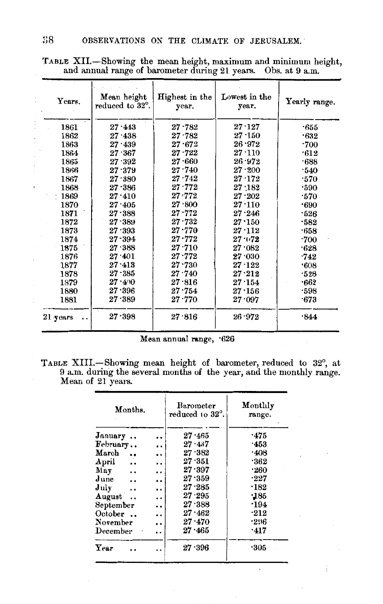| Years.          | Mean height<br>reduced to 32°. | Highest in the<br>year. | Lowest in the<br>year. | Yearly range. |
|-----------------|--------------------------------|-------------------------|------------------------|---------------|
| 1861            | $27 \cdot 443$                 | $27 - 782$              | $27 \cdot 127$         | -655          |
| 1862            | $27 - 438$                     | $27 - 782$              | $27 - 150$             | .632          |
| 1863            | $27 \cdot 439$                 | $27 - 672$              | 26.972                 | $\cdot 700$   |
| 1864            | $27 - 367$                     | $27 \cdot 722$          | 27.110                 | .612          |
| 1865            | $27 \cdot 392$                 | 27.660                  | $26 - 972$             | .688          |
| 1866            | 27.379                         | 27.740                  | $27 - 200$             | .540          |
| 1867            | 27.380                         | $27 - 742$              | $27 - 172$             | .570          |
| 1868            | $27 \cdot 386$                 | 27.772                  | $27 \cdot 182$         | .590          |
| $\pm 1869$      | $27 \cdot 410$                 | $27 - 772$              | $27 - 202$             | $\cdot 570$   |
| 1870            | $27 \!\cdot\! 405$             | 27.800                  | 27.110                 | .690          |
| 1871            | $27 - 388$                     | $27 - 772$              | 27.246                 | .526          |
| 1872            | $27 - 389$                     | $27 - 732$              | 27.150                 | $-582$        |
| 1873            | $27 \cdot 393$                 | $27 - 770$              | 27.112                 | $-658$        |
| 1874            | $27 - 394$                     | $27 - 772$              | $27 - 0.72$            | $\cdot 700$   |
| 1875            | 27.388                         | $27 - 710$              | $27 \cdot 082$         | .628          |
| 1876            | $27 \cdot 401$                 | $27 - 772$              | 27.030                 | .742          |
| 1877            | $27 - 413$                     | $27 - 730$              | $27 - 122$             | .608          |
| 1878            | $27 - 385$                     | 27.740                  | $27 - 212$             | .528          |
| 1379            | $27 - 400$                     | 27.816                  | 27.154                 | .662          |
| 1880            | 27.396                         | 27.754                  | $27 - 156$             | .598          |
| 1881            | $27 \!\cdot\! 389$             | $27 - 770$              | $27 \cdot 097$         | -673          |
| 21 years<br>. . | 27.398                         | 27.816                  | $26 \cdot 972$         | .844          |

TABLE XII.—Showing the mean height, maximum and minimum height, and annual range of barometer during 21 years. Obs. at 9 a.m.

Mean annual range, '626

TABLE XIII.—Showing mean height of barometer, reduced to 32°, at 9 a.m. during the several months of the year, and the monthly range. Mean of 21 years.

| Months.                        | Barometer<br>reduced to 32°.   | Monthly<br>range. |
|--------------------------------|--------------------------------|-------------------|
| January                        | $27 - 465$<br>٠.               | .475              |
| February                       | $27 - 437$<br>                 | $-453$            |
| March                          | 27.382<br>$\ddot{\phantom{0}}$ | .408              |
| April<br>                      | $27 \cdot 351$<br>. .          | .362              |
| May<br>$\ddot{\phantom{0}}$    | 27.397<br>. .                  | .260              |
| June                           | $27 - 359$<br>                 | $\cdot 227$       |
| July                           | $27 - 285$<br>                 | $\cdot$ 182       |
| August<br>$\ddot{\phantom{a}}$ | 27.295<br>                     | .185              |
| September                      | 27.388<br>$\ddot{\phantom{0}}$ | .194              |
| October                        | 27.462<br>٠.                   | $-212$            |
| November                       | 27.470<br>                     | .296              |
| December                       | 27.465<br>$\ddot{\phantom{0}}$ | .417              |
| Year                           | $27 \cdot 396$                 | -305              |
|                                |                                |                   |

 $\cdot$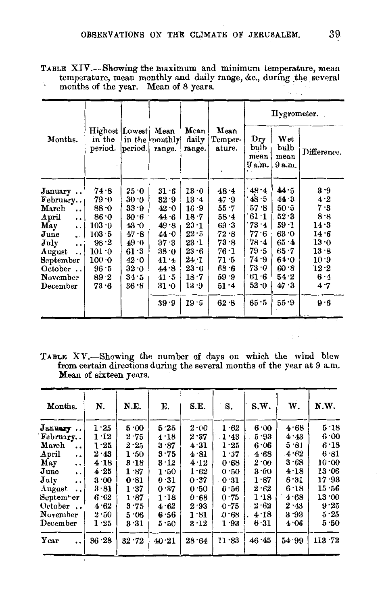TABLE XIV.-Showing the maximum and minimum temperature, mean temperature, mean monthly and daily range, &c., during \_the. several  $\mathbf{r}$ months of the year. Mean of 8 years.

|                                                                                                                                                                                                                                                             |                                                                                                      |                                                                                                      |                                                                                                                  |                                                                                                                     |                                                                                                              |                                                                                                        | Hygrometer.                                                                                            |                                                                                                       |
|-------------------------------------------------------------------------------------------------------------------------------------------------------------------------------------------------------------------------------------------------------------|------------------------------------------------------------------------------------------------------|------------------------------------------------------------------------------------------------------|------------------------------------------------------------------------------------------------------------------|---------------------------------------------------------------------------------------------------------------------|--------------------------------------------------------------------------------------------------------------|--------------------------------------------------------------------------------------------------------|--------------------------------------------------------------------------------------------------------|-------------------------------------------------------------------------------------------------------|
| Months.                                                                                                                                                                                                                                                     | Highest [Lowest]<br>in the<br>period.                                                                | period.                                                                                              | Mean<br>in the monthly<br>range.                                                                                 | Mean<br>daily<br>range.                                                                                             | Mean<br>Temper-<br>ature.<br>$\ddot{\phantom{1}}$                                                            | Dry<br>bulb<br>mean<br>9a.m.                                                                           | Wet<br>bulb<br>mean<br>9 a.m.                                                                          | Difference.                                                                                           |
| January<br>February<br>March<br>$\ddot{\phantom{0}}$<br>April<br>$\ddot{\phantom{0}}$<br>May<br>$\ddot{\phantom{0}}$<br>June<br>$\ddotsc$<br>July<br>$\ddot{\phantom{0}}$<br>August<br>$\ddot{\phantom{a}}$<br>September<br>October<br>November<br>December | 74.8<br>79.0<br>88.0<br>86.0<br>103.0<br>103.5<br>$98-2$<br>101.0<br>100.0<br>96.5<br>$89-2$<br>73.6 | 25 · 0<br>30 ∙0<br>33 · 9<br>30 . 6<br>43 ∙0<br>47.8<br>49.0<br>61 3<br>42.0<br>32.0<br>34 5<br>36.8 | $31 \cdot 6$<br>$32 - 9$<br>42.0<br>44 6<br>49.8<br>44.0<br>37.3<br>38.0<br>41.4<br>44.8<br>41.5<br>31.0<br>39.9 | 13.0<br>$13 - 4$<br>16.9<br>18.7<br>23.1<br>$22 \cdot 5$<br>$23-1$<br>23.6<br>24.1<br>23.6<br>18.7<br>13 .9<br>19.5 | 48.4<br>47.9<br>55.7<br>$58 - 4$<br>69.3<br>72.8<br>73.8<br>$76-1$<br>71.5<br>68.6<br>$59-9$<br>51.4<br>62.8 | 48.4<br>48.5<br>57.8<br>61 1<br>73.4<br>77.6<br>78.4<br>79 - 5<br>74.9<br>73.0<br>61.6<br>52.0<br>65.5 | 44.5<br>44.3<br>50 5<br>52.3<br>$59-1$<br>63 0<br>65 4<br>65.7<br>64.0<br>60.8<br>54.2<br>47.3<br>55.9 | 3.9<br>4.2<br>7.3<br>8.8<br>14.3<br>14:6<br>13.0<br>13.8<br>10.9<br>$12 \cdot 2$<br>6.4<br>4.7<br>9.6 |

TABLE XV.-Showing the number of days on which the wind blew from certain directions during the several months of the year at 9 a.m. Mean of sixteen years.

| Months.                                                                                                                                         | N.                                                           | N.E.                                                   | Е.                                                          | S.E.                                                 | S.                                                   | S.W.                                                 | W.                                                   | N.W.                                                            |
|-------------------------------------------------------------------------------------------------------------------------------------------------|--------------------------------------------------------------|--------------------------------------------------------|-------------------------------------------------------------|------------------------------------------------------|------------------------------------------------------|------------------------------------------------------|------------------------------------------------------|-----------------------------------------------------------------|
| January<br>February<br>March<br>$\ddot{\phantom{a}}$<br>April<br>$\cdot$ .<br>May<br>$\ddot{\phantom{0}}$<br>June<br>$\cdot$<br>July<br>$\cdot$ | 1.25<br>$1 - 12$<br>$1 - 25$<br>2.43<br>4.18<br>4.25<br>3.00 | 5.00<br>2.75<br>2.25<br>1.50<br>$3-18$<br>1.87<br>0.81 | 5.25<br>4.18<br>3.87<br>3.75<br>$3\cdot 12$<br>1.50<br>0.31 | 2.00<br>2.37<br>4.31<br>4.81<br>4.12<br>1.62<br>0.37 | 1.62<br>1.43<br>1.25<br>1.37<br>0.68<br>0.50<br>0.31 | 6.00<br>5.93<br>6.06<br>4.68<br>2.00<br>3.00<br>1.87 | 4.68<br>4.43<br>5.81<br>4.62<br>3.68<br>4.18<br>6.31 | 5.18<br>6.00<br>6.18<br>6.81<br>10.00<br>$13 \cdot 06$<br>17.93 |
| August<br>$\ddot{\phantom{a}}$<br>September<br>October<br>November<br>December<br>Year<br>$\ddot{\phantom{0}}$                                  | 3.81<br>6.62<br>4.62<br>2.50<br>1.25<br>36.28                | 1.37<br>1.87<br>3.75<br>5.06<br>3.31<br>32.72          | 0.37<br>1.18<br>4.62<br>6.56<br>5.50<br>40.21               | 0.50<br>0.68<br>2.93<br>1.81<br>3.12<br>28.64        | 0.56<br>0.75<br>0.75<br>0.68<br>1.93<br>11.83        | 2.62<br>1.18<br>2.62<br>4.18<br>6.31<br>46.45        | 6.18<br>4.68<br>2.43<br>3.93<br>4.06<br>54.99        | 15.56<br>13.00<br>9.25<br>5.25<br>5.50<br>113.72                |